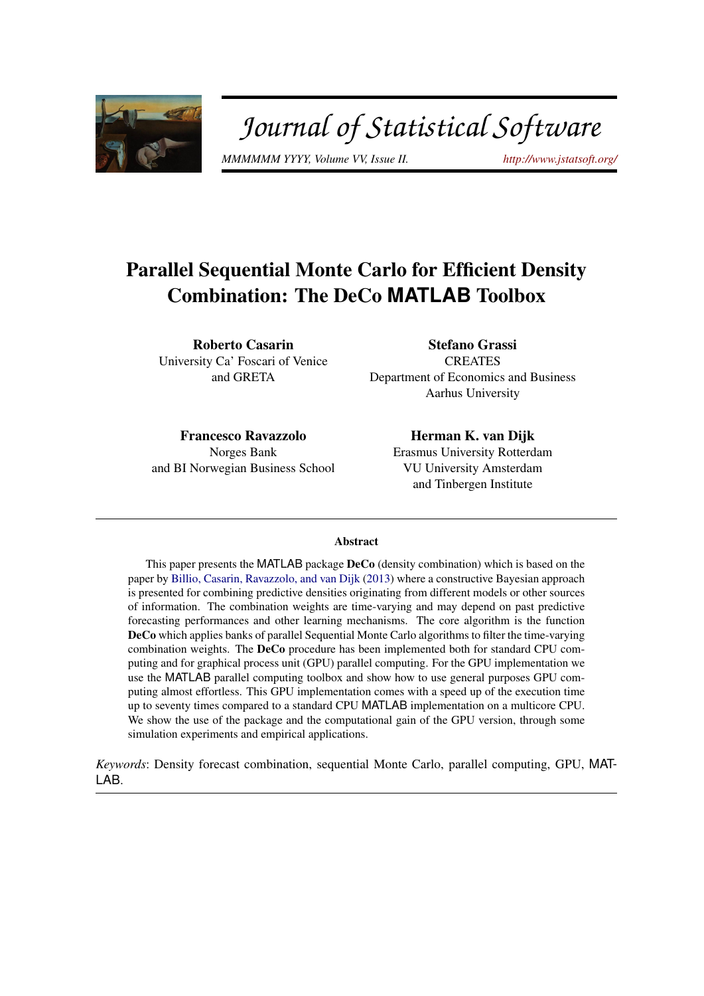<span id="page-0-0"></span>

# Journal of Statistical Software

*MMMMMM YYYY, Volume VV, Issue II. <http://www.jstatsoft.org/>*

## Parallel Sequential Monte Carlo for Efficient Density Combination: The DeCo **MATLAB** Toolbox

Roberto Casarin University Ca' Foscari of Venice and GRETA

Stefano Grassi **CREATES** Department of Economics and Business Aarhus University

Francesco Ravazzolo Norges Bank and BI Norwegian Business School

Herman K. van Dijk Erasmus University Rotterdam VU University Amsterdam and Tinbergen Institute

#### Abstract

This paper presents the MATLAB package DeCo (density combination) which is based on the paper by [Billio, Casarin, Ravazzolo, and van Dijk](#page-19-0) [\(2013\)](#page-19-0) where a constructive Bayesian approach is presented for combining predictive densities originating from different models or other sources of information. The combination weights are time-varying and may depend on past predictive forecasting performances and other learning mechanisms. The core algorithm is the function DeCo which applies banks of parallel Sequential Monte Carlo algorithms to filter the time-varying combination weights. The DeCo procedure has been implemented both for standard CPU computing and for graphical process unit (GPU) parallel computing. For the GPU implementation we use the MATLAB parallel computing toolbox and show how to use general purposes GPU computing almost effortless. This GPU implementation comes with a speed up of the execution time up to seventy times compared to a standard CPU MATLAB implementation on a multicore CPU. We show the use of the package and the computational gain of the GPU version, through some simulation experiments and empirical applications.

*Keywords*: Density forecast combination, sequential Monte Carlo, parallel computing, GPU, MAT-LAB.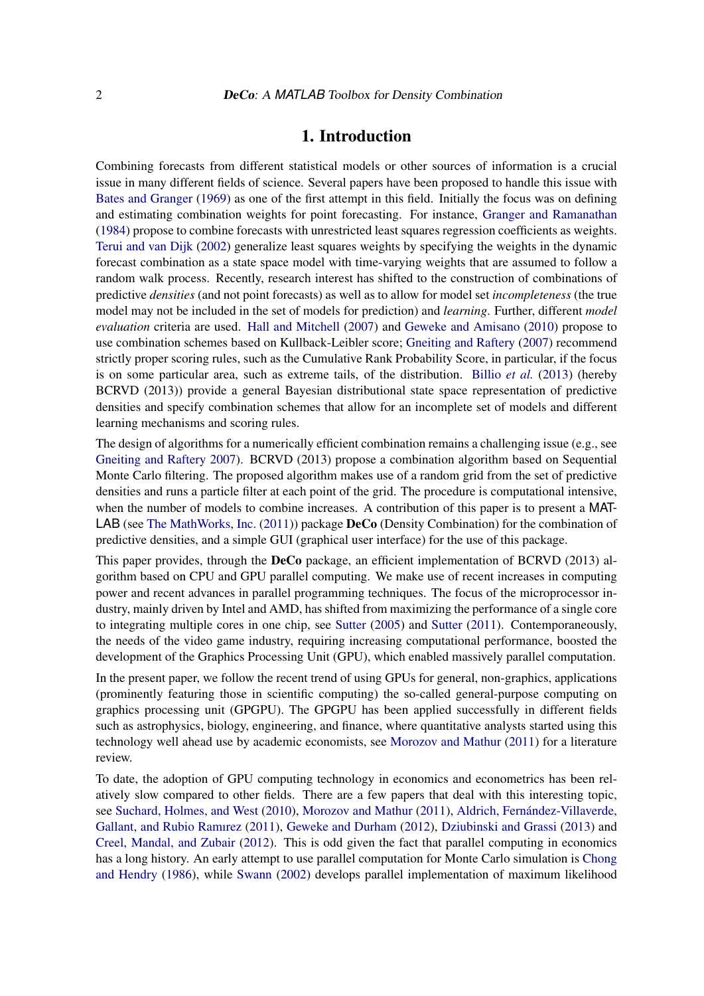### 1. Introduction

Combining forecasts from different statistical models or other sources of information is a crucial issue in many different fields of science. Several papers have been proposed to handle this issue with [Bates and Granger](#page-19-1) [\(1969\)](#page-19-1) as one of the first attempt in this field. Initially the focus was on defining and estimating combination weights for point forecasting. For instance, [Granger and Ramanathan](#page-20-0) [\(1984\)](#page-20-0) propose to combine forecasts with unrestricted least squares regression coefficients as weights. [Terui and van Dijk](#page-22-0) [\(2002\)](#page-22-0) generalize least squares weights by specifying the weights in the dynamic forecast combination as a state space model with time-varying weights that are assumed to follow a random walk process. Recently, research interest has shifted to the construction of combinations of predictive *densities* (and not point forecasts) as well as to allow for model set *incompleteness* (the true model may not be included in the set of models for prediction) and *learning*. Further, different *model evaluation* criteria are used. [Hall and Mitchell](#page-20-1) [\(2007\)](#page-20-1) and [Geweke and Amisano](#page-20-2) [\(2010\)](#page-20-2) propose to use combination schemes based on Kullback-Leibler score; [Gneiting and Raftery](#page-20-3) [\(2007\)](#page-20-3) recommend strictly proper scoring rules, such as the Cumulative Rank Probability Score, in particular, if the focus is on some particular area, such as extreme tails, of the distribution. [Billio](#page-19-0) *et al.* [\(2013\)](#page-19-0) (hereby BCRVD (2013)) provide a general Bayesian distributional state space representation of predictive densities and specify combination schemes that allow for an incomplete set of models and different learning mechanisms and scoring rules.

The design of algorithms for a numerically efficient combination remains a challenging issue (e.g., see [Gneiting and Raftery](#page-20-3) [2007\)](#page-20-3). BCRVD (2013) propose a combination algorithm based on Sequential Monte Carlo filtering. The proposed algorithm makes use of a random grid from the set of predictive densities and runs a particle filter at each point of the grid. The procedure is computational intensive, when the number of models to combine increases. A contribution of this paper is to present a MAT-LAB (see [The MathWorks, Inc.](#page-22-1) [\(2011\)](#page-22-1)) package DeCo (Density Combination) for the combination of predictive densities, and a simple GUI (graphical user interface) for the use of this package.

This paper provides, through the **DeCo** package, an efficient implementation of BCRVD (2013) algorithm based on CPU and GPU parallel computing. We make use of recent increases in computing power and recent advances in parallel programming techniques. The focus of the microprocessor industry, mainly driven by Intel and AMD, has shifted from maximizing the performance of a single core to integrating multiple cores in one chip, see [Sutter](#page-21-0) [\(2005\)](#page-21-0) and [Sutter](#page-22-2) [\(2011\)](#page-22-2). Contemporaneously, the needs of the video game industry, requiring increasing computational performance, boosted the development of the Graphics Processing Unit (GPU), which enabled massively parallel computation.

In the present paper, we follow the recent trend of using GPUs for general, non-graphics, applications (prominently featuring those in scientific computing) the so-called general-purpose computing on graphics processing unit (GPGPU). The GPGPU has been applied successfully in different fields such as astrophysics, biology, engineering, and finance, where quantitative analysts started using this technology well ahead use by academic economists, see [Morozov and Mathur](#page-21-1) [\(2011\)](#page-21-1) for a literature review.

To date, the adoption of GPU computing technology in economics and econometrics has been relatively slow compared to other fields. There are a few papers that deal with this interesting topic, see [Suchard, Holmes, and West](#page-21-2) [\(2010\)](#page-21-2), [Morozov and Mathur](#page-21-1) [\(2011\)](#page-21-1), [Aldrich, Fernández-Villaverde,](#page-19-2) [Gallant, and Rubio Ramırez](#page-19-2) [\(2011\)](#page-19-2), [Geweke and Durham](#page-20-4) [\(2012\)](#page-20-4), [Dziubinski and Grassi](#page-20-5) [\(2013\)](#page-20-5) and [Creel, Mandal, and Zubair](#page-20-6) [\(2012\)](#page-20-6). This is odd given the fact that parallel computing in economics has a long history. An early attempt to use parallel computation for Monte Carlo simulation is [Chong](#page-19-3) [and Hendry](#page-19-3) [\(1986\)](#page-19-3), while [Swann](#page-22-3) [\(2002\)](#page-22-3) develops parallel implementation of maximum likelihood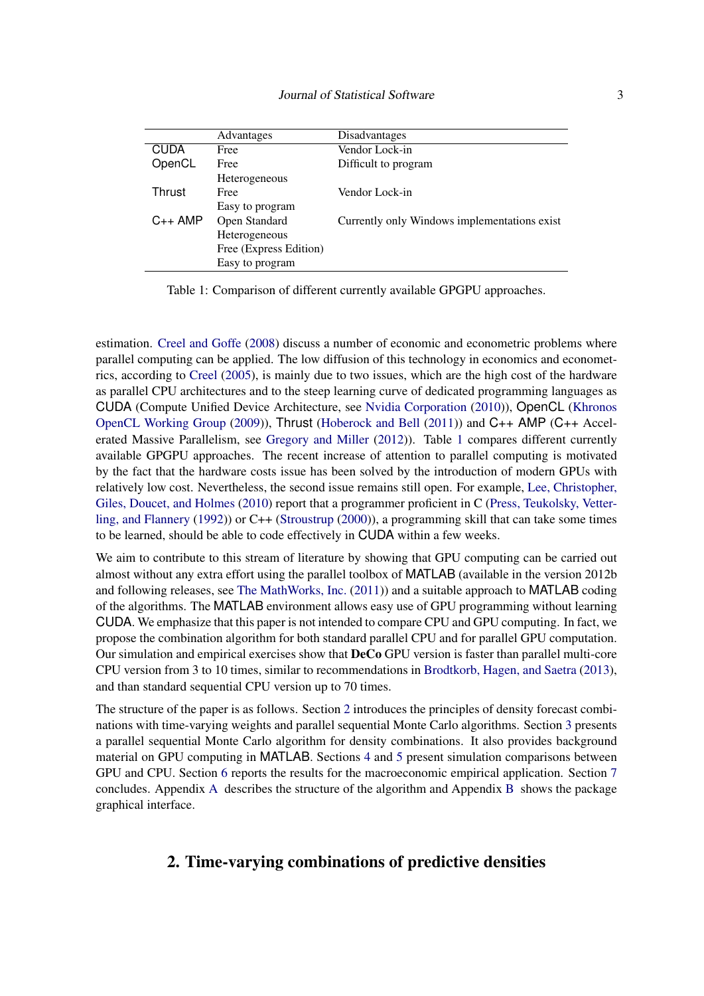<span id="page-2-0"></span>

|              | Advantages             | Disadvantages                                |
|--------------|------------------------|----------------------------------------------|
| <b>CUDA</b>  | Free                   | Vendor Lock-in                               |
| OpenCL       | Free                   | Difficult to program                         |
|              | Heterogeneous          |                                              |
| Thrust       | Free                   | Vendor Lock-in                               |
|              | Easy to program        |                                              |
| $C_{++}$ AMP | Open Standard          | Currently only Windows implementations exist |
|              | Heterogeneous          |                                              |
|              | Free (Express Edition) |                                              |
|              | Easy to program        |                                              |

Table 1: Comparison of different currently available GPGPU approaches.

estimation. [Creel and Goffe](#page-20-7) [\(2008\)](#page-20-7) discuss a number of economic and econometric problems where parallel computing can be applied. The low diffusion of this technology in economics and econometrics, according to [Creel](#page-20-8) [\(2005\)](#page-20-8), is mainly due to two issues, which are the high cost of the hardware as parallel CPU architectures and to the steep learning curve of dedicated programming languages as CUDA (Compute Unified Device Architecture, see [Nvidia Corporation](#page-21-3) [\(2010\)](#page-21-3)), OpenCL [\(Khronos](#page-21-4) [OpenCL Working Group](#page-21-4) [\(2009\)](#page-21-4)), Thrust [\(Hoberock and Bell](#page-20-9) [\(2011\)](#page-20-9)) and C++ AMP (C++ Accelerated Massive Parallelism, see [Gregory and Miller](#page-20-10) [\(2012\)](#page-20-10)). Table [1](#page-2-0) compares different currently available GPGPU approaches. The recent increase of attention to parallel computing is motivated by the fact that the hardware costs issue has been solved by the introduction of modern GPUs with relatively low cost. Nevertheless, the second issue remains still open. For example, [Lee, Christopher,](#page-21-5) [Giles, Doucet, and Holmes](#page-21-5) [\(2010\)](#page-21-5) report that a programmer proficient in C [\(Press, Teukolsky, Vetter](#page-21-6)[ling, and Flannery](#page-21-6) [\(1992\)](#page-21-6)) or C++ [\(Stroustrup](#page-21-7) [\(2000\)](#page-21-7)), a programming skill that can take some times to be learned, should be able to code effectively in CUDA within a few weeks.

We aim to contribute to this stream of literature by showing that GPU computing can be carried out almost without any extra effort using the parallel toolbox of MATLAB (available in the version 2012b and following releases, see [The MathWorks, Inc.](#page-22-1) [\(2011\)](#page-22-1)) and a suitable approach to MATLAB coding of the algorithms. The MATLAB environment allows easy use of GPU programming without learning CUDA. We emphasize that this paper is not intended to compare CPU and GPU computing. In fact, we propose the combination algorithm for both standard parallel CPU and for parallel GPU computation. Our simulation and empirical exercises show that DeCo GPU version is faster than parallel multi-core CPU version from 3 to 10 times, similar to recommendations in [Brodtkorb, Hagen, and Saetra](#page-19-4) [\(2013\)](#page-19-4), and than standard sequential CPU version up to 70 times.

The structure of the paper is as follows. Section [2](#page-2-1) introduces the principles of density forecast combinations with time-varying weights and parallel sequential Monte Carlo algorithms. Section [3](#page-6-0) presents a parallel sequential Monte Carlo algorithm for density combinations. It also provides background material on GPU computing in MATLAB. Sections [4](#page-9-0) and [5](#page-12-0) present simulation comparisons between GPU and CPU. Section [6](#page-17-0) reports the results for the macroeconomic empirical application. Section [7](#page-18-0) concludes. Appendix [A](#page-23-0) describes the structure of the algorithm and Appendix [B](#page-24-0) shows the package graphical interface.

### <span id="page-2-1"></span>2. Time-varying combinations of predictive densities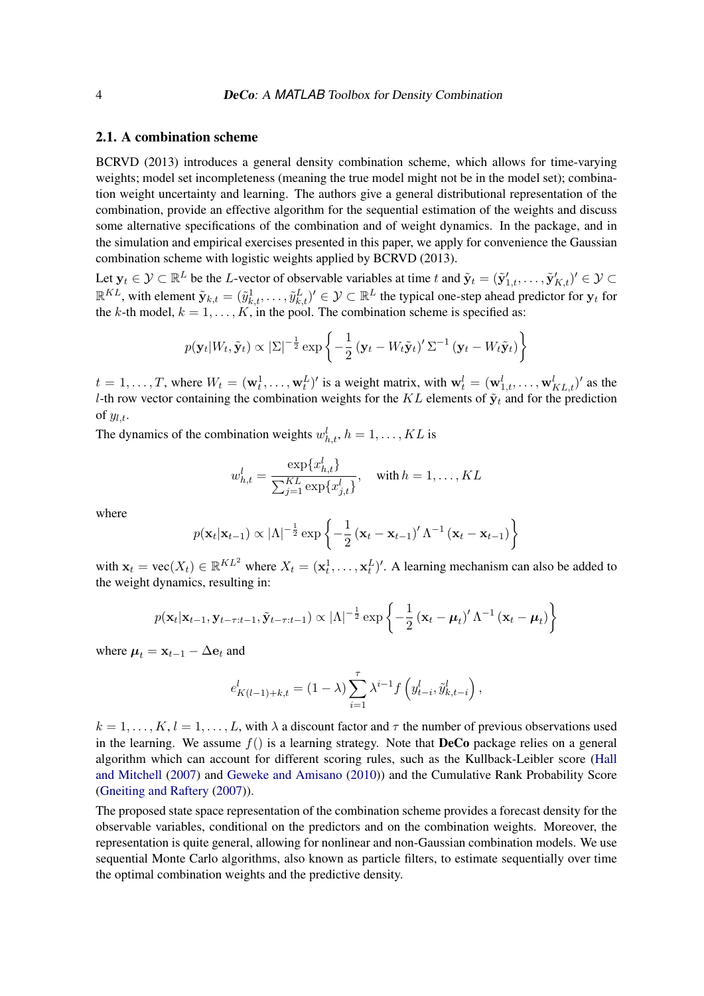### 2.1. A combination scheme

BCRVD (2013) introduces a general density combination scheme, which allows for time-varying weights; model set incompleteness (meaning the true model might not be in the model set); combination weight uncertainty and learning. The authors give a general distributional representation of the combination, provide an effective algorithm for the sequential estimation of the weights and discuss some alternative specifications of the combination and of weight dynamics. In the package, and in the simulation and empirical exercises presented in this paper, we apply for convenience the Gaussian combination scheme with logistic weights applied by BCRVD (2013).

Let  $\mathbf{y}_t \in \mathcal{Y} \subset \mathbb{R}^L$  be the L-vector of observable variables at time t and  $\tilde{\mathbf{y}}_t = (\tilde{\mathbf{y}}'_{1,t}, \dots, \tilde{\mathbf{y}}'_{K,t})' \in \mathcal{Y} \subset$  $\mathbb{R}^{KL}$ , with element  $\tilde{\mathbf{y}}_{k,t}=(\tilde{y}^1_{k,t},\ldots,\tilde{y}^L_{k,t})'\in\mathcal{Y}\subset\mathbb{R}^L$  the typical one-step ahead predictor for  $\mathbf{y}_t$  for the k-th model,  $k = 1, \ldots, K$ , in the pool. The combination scheme is specified as:

$$
p(\mathbf{y}_t|W_t, \tilde{\mathbf{y}}_t) \propto |\Sigma|^{-\frac{1}{2}} \exp \left\{-\frac{1}{2}(\mathbf{y}_t - W_t \tilde{\mathbf{y}}_t)' \Sigma^{-1} (\mathbf{y}_t - W_t \tilde{\mathbf{y}}_t) \right\}
$$

 $t = 1, \ldots, T$ , where  $W_t = (\mathbf{w}_t^1, \ldots, \mathbf{w}_t^L)'$  is a weight matrix, with  $\mathbf{w}_t^l = (\mathbf{w}_{1,t}^l, \ldots, \mathbf{w}_{KL,t}^l)'$  as the l-th row vector containing the combination weights for the KL elements of  $\tilde{\mathbf{y}}_t$  and for the prediction of  $y_{l,t}$ .

The dynamics of the combination weights  $w_{h,t}^l$ ,  $h = 1, \ldots, KL$  is

$$
w_{h,t}^l = \frac{\exp\{x_{h,t}^l\}}{\sum_{j=1}^{KL} \exp\{x_{j,t}^l\}}, \quad \text{with } h = 1, \dots, KL
$$

where

$$
p(\mathbf{x}_t|\mathbf{x}_{t-1}) \propto |\Lambda|^{-\frac{1}{2}} \exp \left\{-\frac{1}{2}(\mathbf{x}_t-\mathbf{x}_{t-1})'\Lambda^{-1}(\mathbf{x}_t-\mathbf{x}_{t-1})\right\}
$$

with  $\mathbf{x}_t = \text{vec}(X_t) \in \mathbb{R}^{KL^2}$  where  $X_t = (\mathbf{x}_t^1, \dots, \mathbf{x}_t^L)'$ . A learning mechanism can also be added to the weight dynamics, resulting in:

$$
p(\mathbf{x}_t|\mathbf{x}_{t-1},\mathbf{y}_{t-\tau:t-1},\tilde{\mathbf{y}}_{t-\tau:t-1}) \propto |\Lambda|^{-\frac{1}{2}} \exp\left\{-\frac{1}{2}(\mathbf{x}_t-\boldsymbol{\mu}_t)'\Lambda^{-1}(\mathbf{x}_t-\boldsymbol{\mu}_t)\right\}
$$

where  $\mu_t = \mathbf{x}_{t-1} - \Delta \mathbf{e}_t$  and

$$
e_{K(l-1)+k,t}^{l} = (1 - \lambda) \sum_{i=1}^{\tau} \lambda^{i-1} f\left(y_{t-i}^{l}, \tilde{y}_{k,t-i}^{l}\right),
$$

 $k = 1, \ldots, K, l = 1, \ldots, L$ , with  $\lambda$  a discount factor and  $\tau$  the number of previous observations used in the learning. We assume  $f()$  is a learning strategy. Note that **DeCo** package relies on a general algorithm which can account for different scoring rules, such as the Kullback-Leibler score [\(Hall](#page-20-1) [and Mitchell](#page-20-1) [\(2007\)](#page-20-1) and [Geweke and Amisano](#page-20-2) [\(2010\)](#page-20-2)) and the Cumulative Rank Probability Score [\(Gneiting and Raftery](#page-20-3) [\(2007\)](#page-20-3)).

The proposed state space representation of the combination scheme provides a forecast density for the observable variables, conditional on the predictors and on the combination weights. Moreover, the representation is quite general, allowing for nonlinear and non-Gaussian combination models. We use sequential Monte Carlo algorithms, also known as particle filters, to estimate sequentially over time the optimal combination weights and the predictive density.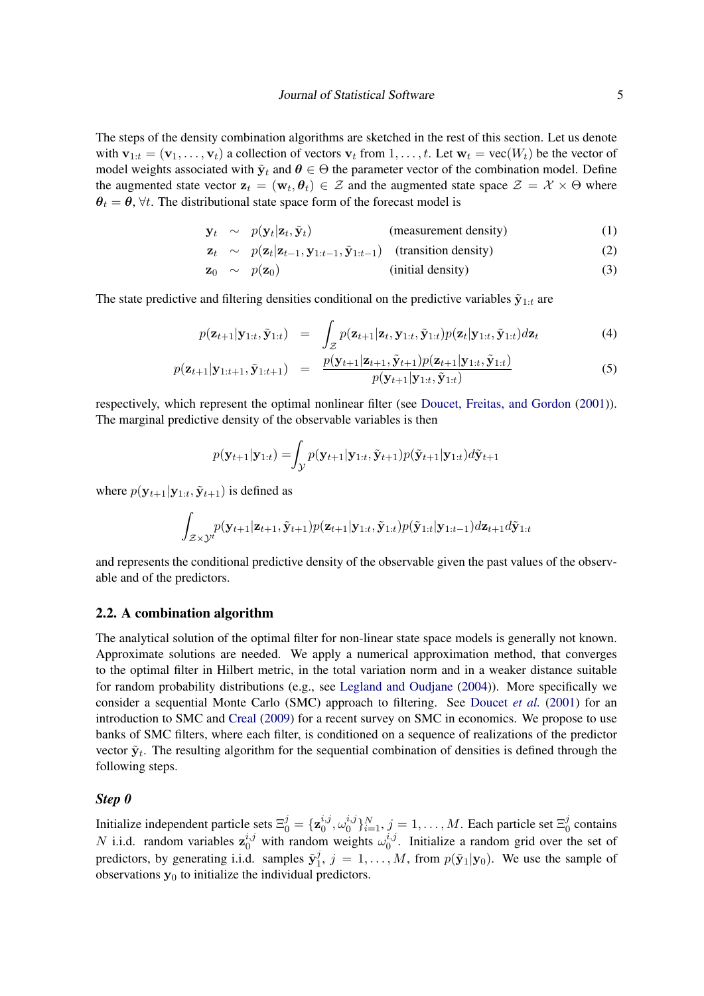The steps of the density combination algorithms are sketched in the rest of this section. Let us denote with  $\mathbf{v}_{1:t} = (\mathbf{v}_1, \dots, \mathbf{v}_t)$  a collection of vectors  $\mathbf{v}_t$  from  $1, \dots, t$ . Let  $\mathbf{w}_t = \text{vec}(W_t)$  be the vector of model weights associated with  $\tilde{\mathbf{y}}_t$  and  $\boldsymbol{\theta} \in \Theta$  the parameter vector of the combination model. Define the augmented state vector  $\mathbf{z}_t = (\mathbf{w}_t, \theta_t) \in \mathcal{Z}$  and the augmented state space  $\mathcal{Z} = \mathcal{X} \times \Theta$  where  $\theta_t = \theta$ ,  $\forall t$ . The distributional state space form of the forecast model is

$$
\mathbf{y}_t \sim p(\mathbf{y}_t|\mathbf{z}_t, \tilde{\mathbf{y}}_t) \quad \text{(measurement density)} \tag{1}
$$

$$
\mathbf{z}_t \sim p(\mathbf{z}_t | \mathbf{z}_{t-1}, \mathbf{y}_{1:t-1}, \tilde{\mathbf{y}}_{1:t-1}) \quad \text{(transition density)} \tag{2}
$$

$$
\mathbf{z}_0 \sim p(\mathbf{z}_0) \tag{3}
$$

The state predictive and filtering densities conditional on the predictive variables  $\tilde{\mathbf{y}}_{1:t}$  are

$$
p(\mathbf{z}_{t+1}|\mathbf{y}_{1:t}, \tilde{\mathbf{y}}_{1:t}) = \int_{\mathcal{Z}} p(\mathbf{z}_{t+1}|\mathbf{z}_t, \mathbf{y}_{1:t}, \tilde{\mathbf{y}}_{1:t}) p(\mathbf{z}_t|\mathbf{y}_{1:t}, \tilde{\mathbf{y}}_{1:t}) d\mathbf{z}_t
$$
\n(4)

$$
p(\mathbf{z}_{t+1}|\mathbf{y}_{1:t+1}, \tilde{\mathbf{y}}_{1:t+1}) = \frac{p(\mathbf{y}_{t+1}|\mathbf{z}_{t+1}, \tilde{\mathbf{y}}_{t+1})p(\mathbf{z}_{t+1}|\mathbf{y}_{1:t}, \tilde{\mathbf{y}}_{1:t})}{p(\mathbf{y}_{t+1}|\mathbf{y}_{1:t}, \tilde{\mathbf{y}}_{1:t})}
$$
(5)

respectively, which represent the optimal nonlinear filter (see [Doucet, Freitas, and Gordon](#page-20-11) [\(2001\)](#page-20-11)). The marginal predictive density of the observable variables is then

$$
p(\mathbf{y}_{t+1}|\mathbf{y}_{1:t}) = \int_{\mathcal{Y}} p(\mathbf{y}_{t+1}|\mathbf{y}_{1:t}, \tilde{\mathbf{y}}_{t+1}) p(\tilde{\mathbf{y}}_{t+1}|\mathbf{y}_{1:t}) d\tilde{\mathbf{y}}_{t+1}
$$

where  $p(\mathbf{y}_{t+1}|\mathbf{y}_{1:t}, \tilde{\mathbf{y}}_{t+1})$  is defined as

$$
\int_{\mathcal{Z}\times\mathcal{Y}^{t}} p(\mathbf{y}_{t+1}|\mathbf{z}_{t+1}, \tilde{\mathbf{y}}_{t+1}) p(\mathbf{z}_{t+1}|\mathbf{y}_{1:t}, \tilde{\mathbf{y}}_{1:t}) p(\tilde{\mathbf{y}}_{1:t}|\mathbf{y}_{1:t-1}) d\mathbf{z}_{t+1} d\tilde{\mathbf{y}}_{1:t}
$$

and represents the conditional predictive density of the observable given the past values of the observable and of the predictors.

#### 2.2. A combination algorithm

The analytical solution of the optimal filter for non-linear state space models is generally not known. Approximate solutions are needed. We apply a numerical approximation method, that converges to the optimal filter in Hilbert metric, in the total variation norm and in a weaker distance suitable for random probability distributions (e.g., see [Legland and Oudjane](#page-21-8) [\(2004\)](#page-21-8)). More specifically we consider a sequential Monte Carlo (SMC) approach to filtering. See [Doucet](#page-20-11) *et al.* [\(2001\)](#page-20-11) for an introduction to SMC and [Creal](#page-20-12) [\(2009\)](#page-20-12) for a recent survey on SMC in economics. We propose to use banks of SMC filters, where each filter, is conditioned on a sequence of realizations of the predictor vector  $\tilde{\mathbf{y}}_t$ . The resulting algorithm for the sequential combination of densities is defined through the following steps.

#### *Step 0*

Initialize independent particle sets  $\Xi_0^j = {\mathbf{z}_0^{i,j}}$  $_{0}^{i,j},\omega _{0}^{i,j}$  $\{i,j\}_{i=1}^N, j=1,\ldots,M.$  Each particle set  $\Xi_0^j$  $\frac{1}{0}$  contains *N* i.i.d. random variables  $z_0^{i,j}$  with random weights  $\omega_0^{i,j}$  $_{0}^{i,j}$ . Initialize a random grid over the set of predictors, by generating i.i.d. samples  $\tilde{\mathbf{y}}_1^j$  $j_1^j$ ,  $j = 1, \ldots, M$ , from  $p(\tilde{\mathbf{y}}_1 | \mathbf{y}_0)$ . We use the sample of observations  $y_0$  to initialize the individual predictors.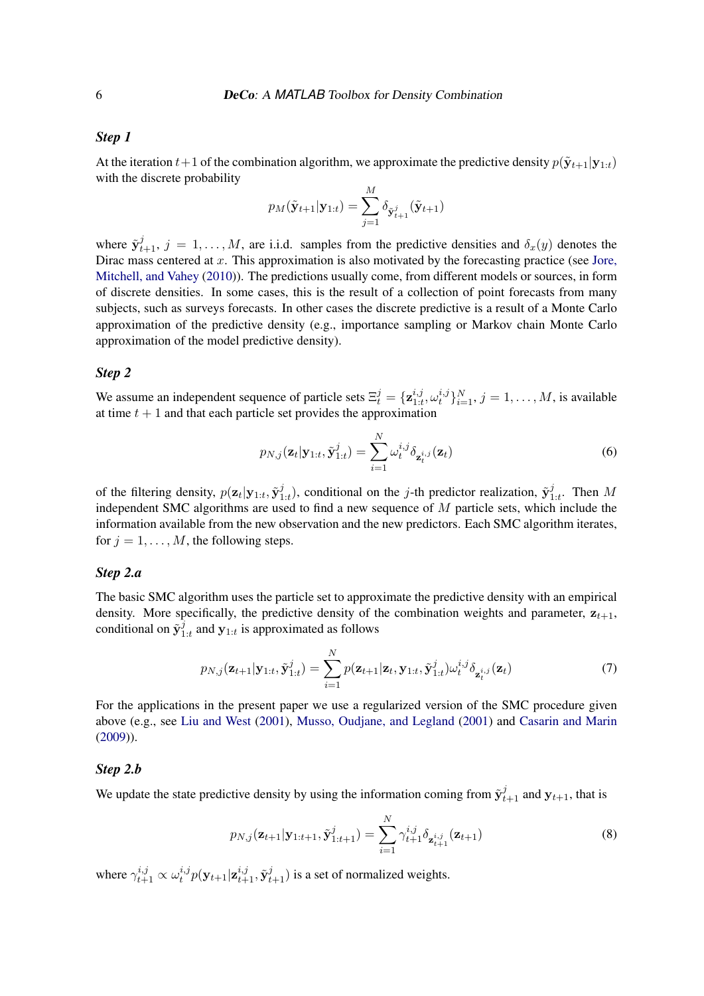### *Step 1*

At the iteration  $t+1$  of the combination algorithm, we approximate the predictive density  $p(\tilde{\mathbf{y}}_{t+1}|\mathbf{y}_{1:t})$ with the discrete probability  $\overline{M}$ 

$$
p_M(\tilde{\mathbf{y}}_{t+1}|\mathbf{y}_{1:t}) = \sum_{j=1}^M \delta_{\tilde{\mathbf{y}}_{t+1}^j}(\tilde{\mathbf{y}}_{t+1})
$$

where  $\tilde{\mathbf{y}}_{t+1}^j$ ,  $j = 1, ..., M$ , are i.i.d. samples from the predictive densities and  $\delta_x(y)$  denotes the Dirac mass centered at  $x$ . This approximation is also motivated by the forecasting practice (see [Jore,](#page-21-9) [Mitchell, and Vahey](#page-21-9) [\(2010\)](#page-21-9)). The predictions usually come, from different models or sources, in form of discrete densities. In some cases, this is the result of a collection of point forecasts from many subjects, such as surveys forecasts. In other cases the discrete predictive is a result of a Monte Carlo approximation of the predictive density (e.g., importance sampling or Markov chain Monte Carlo approximation of the model predictive density).

#### *Step 2*

We assume an independent sequence of particle sets  $\Xi_t^j = {\mathbf{z}_{1:t}^{i,j}}$  $_{1:t}^{i,j},\omega _{t}^{i,j}$  $\{t_i^{i,j}\}_{i=1}^N, j=1,\ldots,M$ , is available at time  $t + 1$  and that each particle set provides the approximation

$$
p_{N,j}(\mathbf{z}_t|\mathbf{y}_{1:t}, \tilde{\mathbf{y}}_{1:t}^j) = \sum_{i=1}^N \omega_t^{i,j} \delta_{\mathbf{z}_t^{i,j}}(\mathbf{z}_t)
$$
(6)

of the filtering density,  $p(\mathbf{z}_t|\mathbf{y}_{1:t}, \tilde{\mathbf{y}}_1^j)$  $j_{1:t}$ ), conditional on the *j*-th predictor realization,  $\tilde{\mathbf{y}}_1^j$  $\int_{1:t}^{j}$ . Then M independent SMC algorithms are used to find a new sequence of M particle sets, which include the information available from the new observation and the new predictors. Each SMC algorithm iterates, for  $j = 1, \ldots, M$ , the following steps.

#### *Step 2.a*

The basic SMC algorithm uses the particle set to approximate the predictive density with an empirical density. More specifically, the predictive density of the combination weights and parameter,  $z_{t+1}$ , conditional on  $\tilde{\mathbf{y}}_1^{\tilde{j}}$  $\int_{1:t}^{j}$  and  $y_{1:t}$  is approximated as follows

$$
p_{N,j}(\mathbf{z}_{t+1}|\mathbf{y}_{1:t}, \tilde{\mathbf{y}}_{1:t}^j) = \sum_{i=1}^N p(\mathbf{z}_{t+1}|\mathbf{z}_t, \mathbf{y}_{1:t}, \tilde{\mathbf{y}}_{1:t}^j) \omega_t^{i,j} \delta_{\mathbf{z}_t^{i,j}}(\mathbf{z}_t)
$$
(7)

For the applications in the present paper we use a regularized version of the SMC procedure given above (e.g., see [Liu and West](#page-21-10) [\(2001\)](#page-21-10), [Musso, Oudjane, and Legland](#page-21-11) [\(2001\)](#page-21-11) and [Casarin and Marin](#page-19-5) [\(2009\)](#page-19-5)).

#### *Step 2.b*

We update the state predictive density by using the information coming from  $\tilde{\mathbf{y}}_{t+1}^j$  and  $\mathbf{y}_{t+1}$ , that is

$$
p_{N,j}(\mathbf{z}_{t+1}|\mathbf{y}_{1:t+1}, \tilde{\mathbf{y}}_{1:t+1}^j) = \sum_{i=1}^N \gamma_{t+1}^{i,j} \delta_{\mathbf{z}_{t+1}^{i,j}}(\mathbf{z}_{t+1})
$$
(8)

where  $\gamma_{t+1}^{i,j} \propto \omega_t^{i,j}$  $t_i^{i,j} p(\mathbf{y}_{t+1}|\mathbf{z}_{t+1}^{i,j}, \tilde{\mathbf{y}}_{t+1}^j)$  is a set of normalized weights.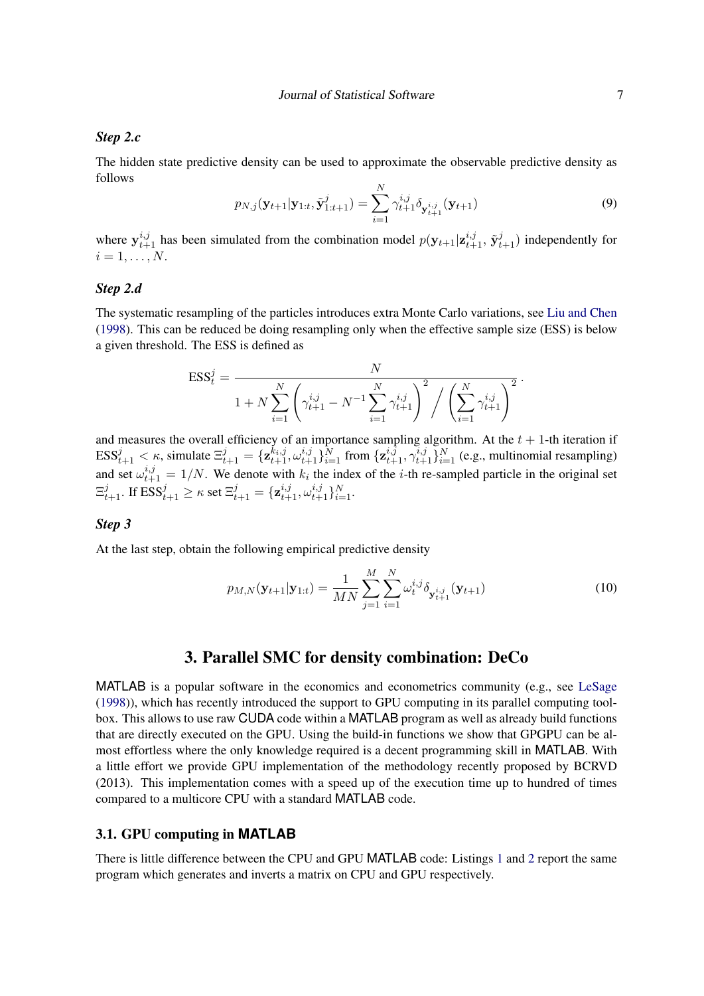### *Step 2.c*

The hidden state predictive density can be used to approximate the observable predictive density as follows

$$
p_{N,j}(\mathbf{y}_{t+1}|\mathbf{y}_{1:t}, \tilde{\mathbf{y}}_{1:t+1}^j) = \sum_{i=1}^N \gamma_{t+1}^{i,j} \delta_{\mathbf{y}_{t+1}^{i,j}}(\mathbf{y}_{t+1})
$$
(9)

where  $y_{t+1}^{i,j}$  has been simulated from the combination model  $p(y_{t+1} | \mathbf{z}_{t+1}^{i,j}, \tilde{y}_{t+1}^j)$  independently for  $i=1,\ldots,N$ .

### *Step 2.d*

The systematic resampling of the particles introduces extra Monte Carlo variations, see [Liu and Chen](#page-21-12) [\(1998\)](#page-21-12). This can be reduced be doing resampling only when the effective sample size (ESS) is below a given threshold. The ESS is defined as

$$
\text{ESS}_{t}^{j} = \frac{N}{1 + N \sum_{i=1}^{N} \left( \gamma_{t+1}^{i,j} - N^{-1} \sum_{i=1}^{N} \gamma_{t+1}^{i,j} \right)^{2} / \left( \sum_{i=1}^{N} \gamma_{t+1}^{i,j} \right)^{2}}.
$$

and measures the overall efficiency of an importance sampling algorithm. At the  $t + 1$ -th iteration if  $\text{ESS}_{t+1}^j < \kappa$ , simulate  $\Xi_{t+1}^j = \{ \mathbf{z}_{t+1}^{k_i, j}, \omega_{t+1}^{i, j} \}_{i=1}^N$  from  $\{ \mathbf{z}_{t+1}^{i, \bar{j}}, \gamma_{t+1}^{i, j} \}_{i=1}^N$  (e.g., multinomial resampling) and set  $\omega_{t+1}^{i,j} = 1/N$ . We denote with  $k_i$  the index of the *i*-th re-sampled particle in the original set  $\Xi_{t+1}^j$ . If  $\text{ESS}_{t+1}^j \geq \kappa$  set  $\Xi_{t+1}^j = \{ \mathbf{z}_{t+1}^{i,j}, \omega_{t+1}^{i,j} \}_{i=1}^N$ .

### *Step 3*

At the last step, obtain the following empirical predictive density

$$
p_{M,N}(\mathbf{y}_{t+1}|\mathbf{y}_{1:t}) = \frac{1}{MN} \sum_{j=1}^{M} \sum_{i=1}^{N} \omega_t^{i,j} \delta_{\mathbf{y}_{t+1}^{i,j}}(\mathbf{y}_{t+1})
$$
(10)

### 3. Parallel SMC for density combination: DeCo

<span id="page-6-0"></span>MATLAB is a popular software in the economics and econometrics community (e.g., see [LeSage](#page-21-13) [\(1998\)](#page-21-13)), which has recently introduced the support to GPU computing in its parallel computing toolbox. This allows to use raw CUDA code within a MATLAB program as well as already build functions that are directly executed on the GPU. Using the build-in functions we show that GPGPU can be almost effortless where the only knowledge required is a decent programming skill in MATLAB. With a little effort we provide GPU implementation of the methodology recently proposed by BCRVD (2013). This implementation comes with a speed up of the execution time up to hundred of times compared to a multicore CPU with a standard MATLAB code.

### 3.1. GPU computing in **MATLAB**

There is little difference between the CPU and GPU MATLAB code: Listings [1](#page-7-0) and [2](#page-7-1) report the same program which generates and inverts a matrix on CPU and GPU respectively.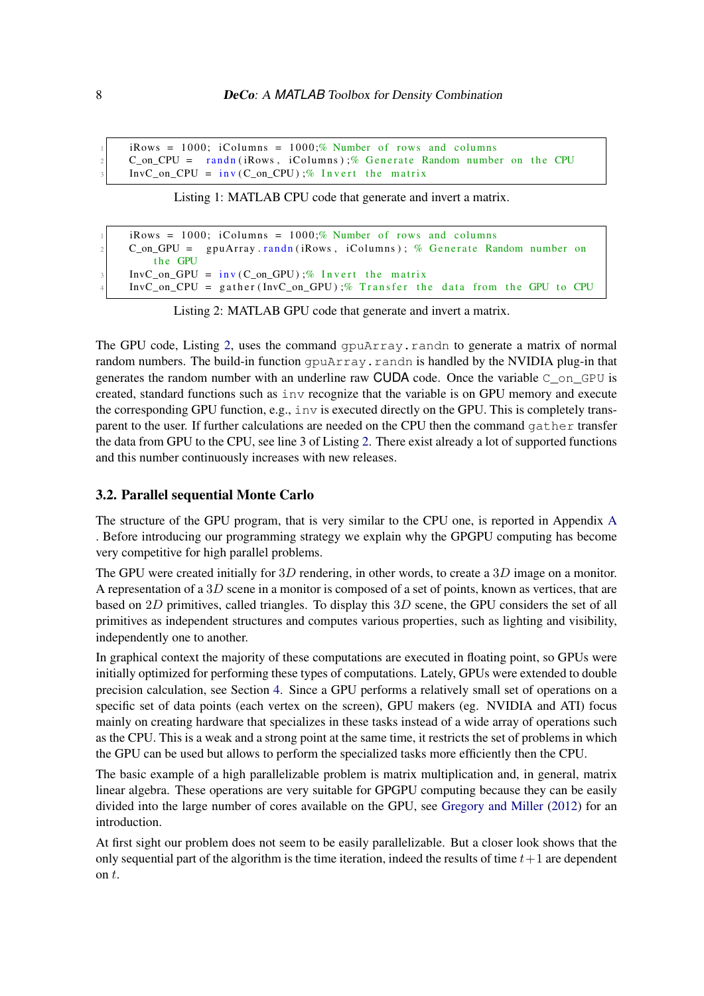<span id="page-7-0"></span> $iRows = 1000$ ;  $iColumns = 1000$ ;% Number of rows and columns  $C_$ on\_CPU = randn(iRows, iColumns);% Generate Random number on the CPU  $InvC_on_CPU = inv(C_on_CPU)$ ;% Invert the matrix

Listing 1: MATLAB CPU code that generate and invert a matrix.

```
iRows = 1000; iColumns = 1000;% Number of rows and columns
C_on_GPU = gpuArray.randn(iRows, iColumns); % Generate Random number on
   the GPU
InvC_0n_GPU = inv(C_0n_GPU);% Invert the matrix
InvC_0n_CPU = gather (InvC_0n_GPU);% Transfer the data from the GPU to CPU
```
Listing 2: MATLAB GPU code that generate and invert a matrix.

The GPU code, Listing [2,](#page-7-1) uses the command gpuArray.randn to generate a matrix of normal random numbers. The build-in function gpuArray.randn is handled by the NVIDIA plug-in that generates the random number with an underline raw CUDA code. Once the variable  $C_{\text{on}}$  GPU is created, standard functions such as inv recognize that the variable is on GPU memory and execute the corresponding GPU function, e.g., inv is executed directly on the GPU. This is completely transparent to the user. If further calculations are needed on the CPU then the command gather transfer the data from GPU to the CPU, see line 3 of Listing [2.](#page-7-1) There exist already a lot of supported functions and this number continuously increases with new releases.

### 3.2. Parallel sequential Monte Carlo

The structure of the GPU program, that is very similar to the CPU one, is reported in Appendix [A](#page-23-0) [.](#page-23-0) Before introducing our programming strategy we explain why the GPGPU computing has become very competitive for high parallel problems.

The GPU were created initially for  $3D$  rendering, in other words, to create a  $3D$  image on a monitor. A representation of a 3D scene in a monitor is composed of a set of points, known as vertices, that are based on  $2D$  primitives, called triangles. To display this  $3D$  scene, the GPU considers the set of all primitives as independent structures and computes various properties, such as lighting and visibility, independently one to another.

In graphical context the majority of these computations are executed in floating point, so GPUs were initially optimized for performing these types of computations. Lately, GPUs were extended to double precision calculation, see Section [4.](#page-9-0) Since a GPU performs a relatively small set of operations on a specific set of data points (each vertex on the screen), GPU makers (eg. NVIDIA and ATI) focus mainly on creating hardware that specializes in these tasks instead of a wide array of operations such as the CPU. This is a weak and a strong point at the same time, it restricts the set of problems in which the GPU can be used but allows to perform the specialized tasks more efficiently then the CPU.

The basic example of a high parallelizable problem is matrix multiplication and, in general, matrix linear algebra. These operations are very suitable for GPGPU computing because they can be easily divided into the large number of cores available on the GPU, see [Gregory and Miller](#page-20-10) [\(2012\)](#page-20-10) for an introduction.

At first sight our problem does not seem to be easily parallelizable. But a closer look shows that the only sequential part of the algorithm is the time iteration, indeed the results of time  $t+1$  are dependent on  $t$ .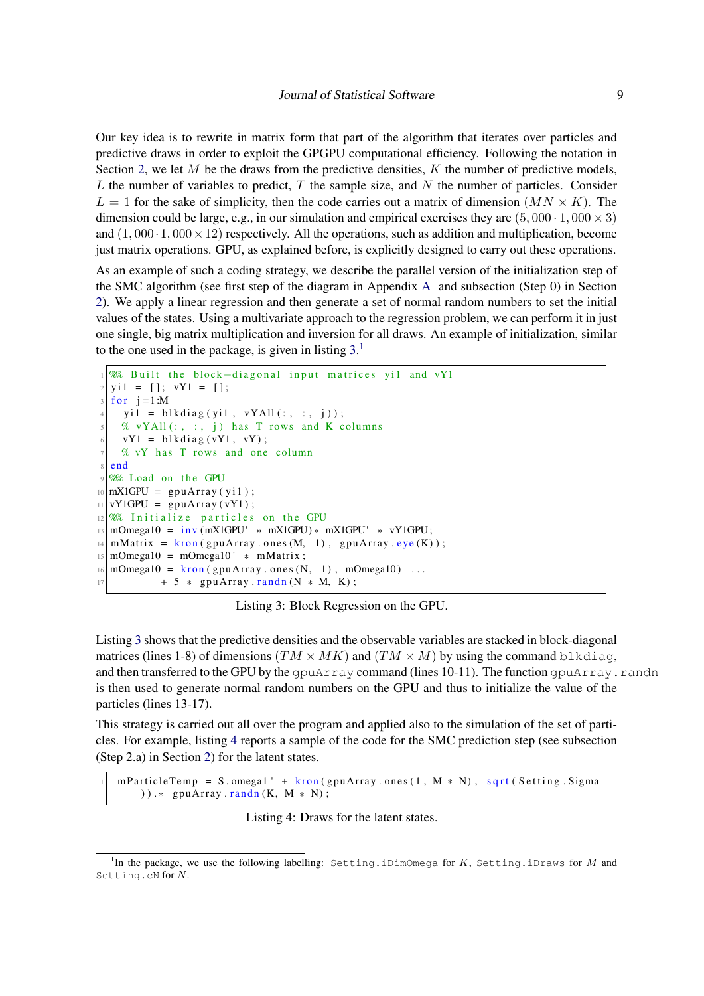Our key idea is to rewrite in matrix form that part of the algorithm that iterates over particles and predictive draws in order to exploit the GPGPU computational efficiency. Following the notation in Section [2,](#page-2-1) we let  $M$  be the draws from the predictive densities,  $K$  the number of predictive models, L the number of variables to predict,  $T$  the sample size, and  $N$  the number of particles. Consider  $L = 1$  for the sake of simplicity, then the code carries out a matrix of dimension  $(MN \times K)$ . The dimension could be large, e.g., in our simulation and empirical exercises they are  $(5,000 \cdot 1,000 \times 3)$ and  $(1,000 \cdot 1,000 \times 12)$  respectively. All the operations, such as addition and multiplication, become just matrix operations. GPU, as explained before, is explicitly designed to carry out these operations.

As an example of such a coding strategy, we describe the parallel version of the initialization step of the SMC algorithm (see first step of the diagram in Appendix [A](#page-23-0) and subsection (Step 0) in Section [2\)](#page-2-1). We apply a linear regression and then generate a set of normal random numbers to set the initial values of the states. Using a multivariate approach to the regression problem, we can perform it in just one single, big matrix multiplication and inversion for all draws. An example of initialization, similar to the one used in the package, is given in listing  $3<sup>1</sup>$  $3<sup>1</sup>$  $3<sup>1</sup>$ 

```
\% Built the block-diagonal input matrices yi1 and vY1
  y_i 1 = []; vY1 = [];
  for i = 1:Myil = blkdiag(yil, vYAll(:, : , i));% vYAll(:, :, j) has T rows and K columns
     vY1 = blkdiag(vY1, vY);% vY has T rows and one column
  end
  %% Load on the GPU
10 \text{ mX1}GPU = gpuArray(yi1);
11 vY1GPU = gpuArray (vY1);
12 %% Initialize particles on the GPU
13 \text{ mOmeg} = \text{inv} (\text{mX1GPU} * \text{mX1GPU}) * \text{mX1GPU} * \text{vY1GPU};14 \text{ mMatrix} = \text{kron} (\text{gputArray}.\text{ones}(\text{M}, 1), \text{gputArray}.\text{eye}(\text{K}));15 \text{ mOmega} = \text{mOmega}<sup>10</sup> * mMatrix;
16 \text{ mOmega} = \text{ kron (} \text{gpuArray ones (N, 1) , mOmega} ...
17 + 5 * gpuArray randn (N * M, K);
```
Listing 3: Block Regression on the GPU.

Listing [3](#page-8-0) shows that the predictive densities and the observable variables are stacked in block-diagonal matrices (lines 1-8) of dimensions  $(TM \times MK)$  and  $(TM \times M)$  by using the command blkdiag, and then transferred to the GPU by the gpuArray command (lines  $10-11$ ). The function gpuArray.randn is then used to generate normal random numbers on the GPU and thus to initialize the value of the particles (lines 13-17).

This strategy is carried out all over the program and applied also to the simulation of the set of particles. For example, listing [4](#page-8-1) reports a sample of the code for the SMC prediction step (see subsection (Step 2.a) in Section [2\)](#page-2-1) for the latent states.

<span id="page-8-1"></span> $m$  Particle Temp = S. omegal ' + kron (gpuArray. ones (1, M  $*$  N), sqrt (Setting. Sigma  $))$  .\* gpuArray . randn  $(K, M * N)$ ;

Listing 4: Draws for the latent states.

<sup>&</sup>lt;sup>1</sup>In the package, we use the following labelling: Setting.iDimOmega for K, Setting.iDraws for M and Setting.cN for N.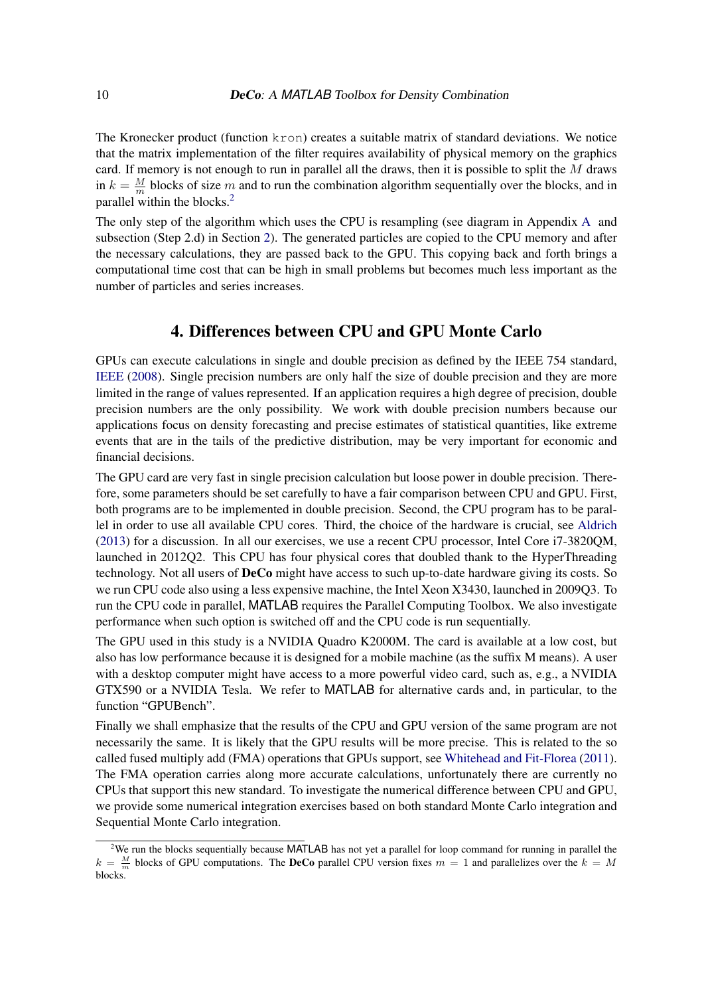The Kronecker product (function kron) creates a suitable matrix of standard deviations. We notice that the matrix implementation of the filter requires availability of physical memory on the graphics card. If memory is not enough to run in parallel all the draws, then it is possible to split the  $M$  draws in  $k = \frac{M}{m}$  $\frac{M}{m}$  blocks of size m and to run the combination algorithm sequentially over the blocks, and in parallel within the blocks.[2](#page-0-0)

The only step of the algorithm which uses the CPU is resampling (see diagram in Appendix [A](#page-23-0) and subsection (Step 2.d) in Section [2\)](#page-2-1). The generated particles are copied to the CPU memory and after the necessary calculations, they are passed back to the GPU. This copying back and forth brings a computational time cost that can be high in small problems but becomes much less important as the number of particles and series increases.

### 4. Differences between CPU and GPU Monte Carlo

<span id="page-9-0"></span>GPUs can execute calculations in single and double precision as defined by the IEEE 754 standard, [IEEE](#page-20-13) [\(2008\)](#page-20-13). Single precision numbers are only half the size of double precision and they are more limited in the range of values represented. If an application requires a high degree of precision, double precision numbers are the only possibility. We work with double precision numbers because our applications focus on density forecasting and precise estimates of statistical quantities, like extreme events that are in the tails of the predictive distribution, may be very important for economic and financial decisions.

The GPU card are very fast in single precision calculation but loose power in double precision. Therefore, some parameters should be set carefully to have a fair comparison between CPU and GPU. First, both programs are to be implemented in double precision. Second, the CPU program has to be parallel in order to use all available CPU cores. Third, the choice of the hardware is crucial, see [Aldrich](#page-19-6) [\(2013\)](#page-19-6) for a discussion. In all our exercises, we use a recent CPU processor, Intel Core i7-3820QM, launched in 2012Q2. This CPU has four physical cores that doubled thank to the HyperThreading technology. Not all users of DeCo might have access to such up-to-date hardware giving its costs. So we run CPU code also using a less expensive machine, the Intel Xeon X3430, launched in 2009Q3. To run the CPU code in parallel, MATLAB requires the Parallel Computing Toolbox. We also investigate performance when such option is switched off and the CPU code is run sequentially.

The GPU used in this study is a NVIDIA Quadro K2000M. The card is available at a low cost, but also has low performance because it is designed for a mobile machine (as the suffix M means). A user with a desktop computer might have access to a more powerful video card, such as, e.g., a NVIDIA GTX590 or a NVIDIA Tesla. We refer to MATLAB for alternative cards and, in particular, to the function "GPUBench".

Finally we shall emphasize that the results of the CPU and GPU version of the same program are not necessarily the same. It is likely that the GPU results will be more precise. This is related to the so called fused multiply add (FMA) operations that GPUs support, see [Whitehead and Fit-Florea](#page-22-4) [\(2011\)](#page-22-4). The FMA operation carries along more accurate calculations, unfortunately there are currently no CPUs that support this new standard. To investigate the numerical difference between CPU and GPU, we provide some numerical integration exercises based on both standard Monte Carlo integration and Sequential Monte Carlo integration.

 $2$ We run the blocks sequentially because MATLAB has not yet a parallel for loop command for running in parallel the  $k = \frac{M}{m}$  blocks of GPU computations. The **DeCo** parallel CPU version fixes  $m = 1$  and parallelizes over the  $k = M$ blocks.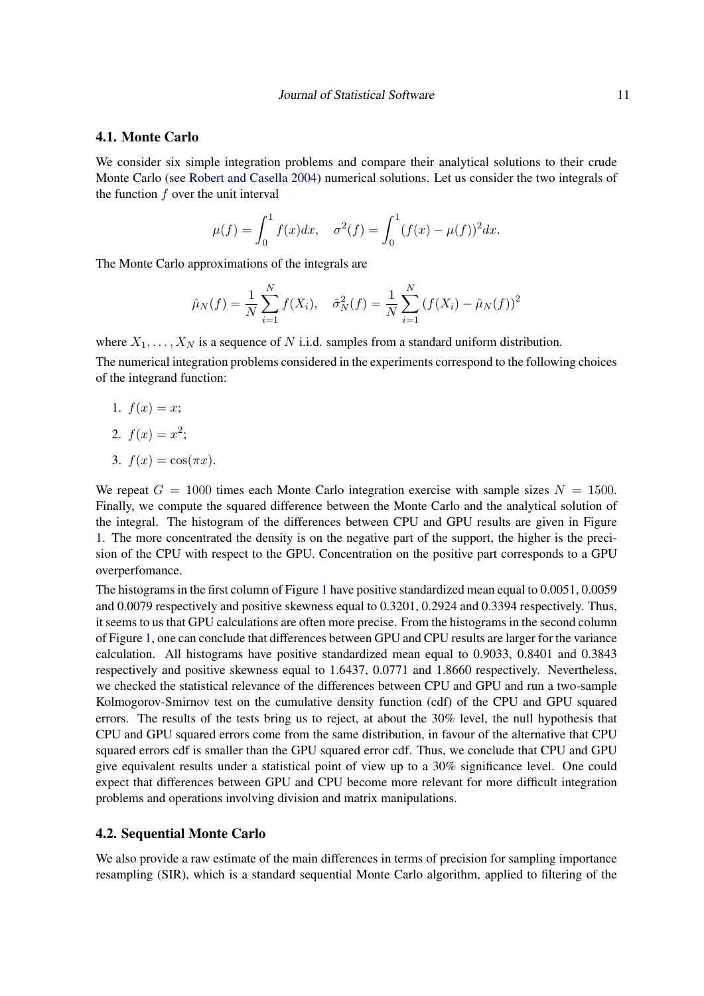### 4.1. Monte Carlo

We consider six simple integration problems and compare their analytical solutions to their crude Monte Carlo (see [Robert and Casella](#page-21-14) [2004\)](#page-21-14) numerical solutions. Let us consider the two integrals of the function  $f$  over the unit interval

$$
\mu(f) = \int_0^1 f(x)dx, \quad \sigma^2(f) = \int_0^1 (f(x) - \mu(f))^2 dx.
$$

The Monte Carlo approximations of the integrals are

$$
\hat{\mu}_N(f) = \frac{1}{N} \sum_{i=1}^N f(X_i), \quad \hat{\sigma}_N^2(f) = \frac{1}{N} \sum_{i=1}^N (f(X_i) - \hat{\mu}_N(f))^2
$$

where  $X_1, \ldots, X_N$  is a sequence of N i.i.d. samples from a standard uniform distribution.

The numerical integration problems considered in the experiments correspond to the following choices of the integrand function:

1.  $f(x) = x$ ;

$$
2. f(x) = x^2;
$$

3.  $f(x) = \cos(\pi x)$ .

We repeat  $G = 1000$  times each Monte Carlo integration exercise with sample sizes  $N = 1500$ . Finally, we compute the squared difference between the Monte Carlo and the analytical solution of the integral. The histogram of the differences between CPU and GPU results are given in Figure [1.](#page-11-0) The more concentrated the density is on the negative part of the support, the higher is the precision of the CPU with respect to the GPU. Concentration on the positive part corresponds to a GPU overperfomance.

The histograms in the first column of Figure [1](#page-11-0) have positive standardized mean equal to 0.0051, 0.0059 and 0.0079 respectively and positive skewness equal to 0.3201, 0.2924 and 0.3394 respectively. Thus, it seems to us that GPU calculations are often more precise. From the histograms in the second column of Figure [1,](#page-11-0) one can conclude that differences between GPU and CPU results are larger for the variance calculation. All histograms have positive standardized mean equal to 0.9033, 0.8401 and 0.3843 respectively and positive skewness equal to 1.6437, 0.0771 and 1.8660 respectively. Nevertheless, we checked the statistical relevance of the differences between CPU and GPU and run a two-sample Kolmogorov-Smirnov test on the cumulative density function (cdf) of the CPU and GPU squared errors. The results of the tests bring us to reject, at about the 30% level, the null hypothesis that CPU and GPU squared errors come from the same distribution, in favour of the alternative that CPU squared errors cdf is smaller than the GPU squared error cdf. Thus, we conclude that CPU and GPU give equivalent results under a statistical point of view up to a 30% significance level. One could expect that differences between GPU and CPU become more relevant for more difficult integration problems and operations involving division and matrix manipulations.

### 4.2. Sequential Monte Carlo

We also provide a raw estimate of the main differences in terms of precision for sampling importance resampling (SIR), which is a standard sequential Monte Carlo algorithm, applied to filtering of the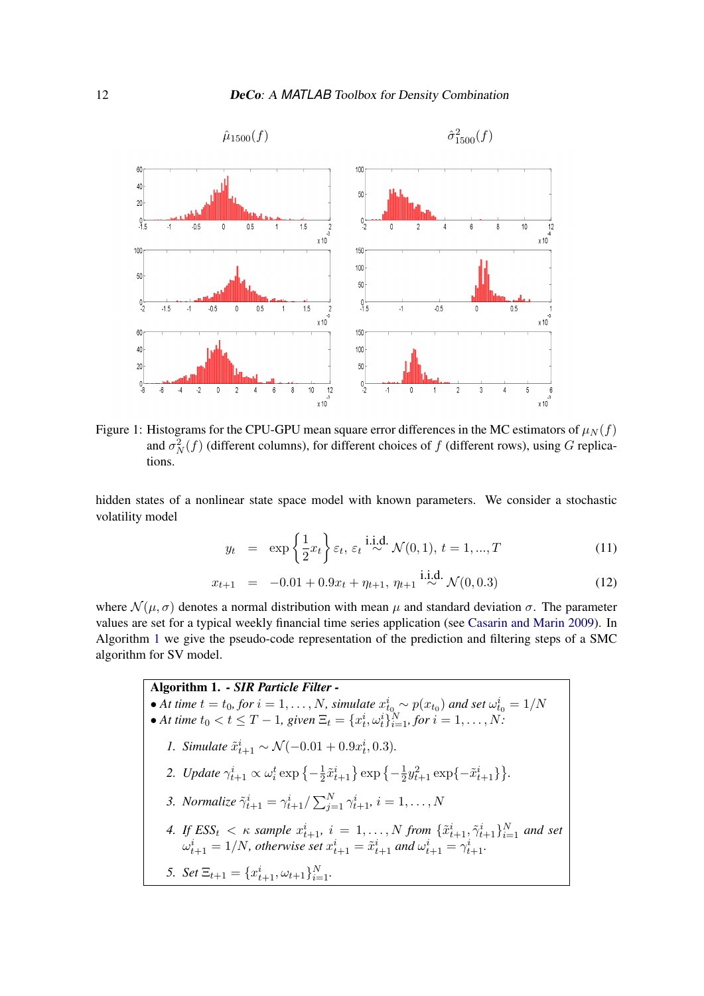<span id="page-11-0"></span>

Figure 1: Histograms for the CPU-GPU mean square error differences in the MC estimators of  $\mu_N(f)$ and  $\sigma_N^2(f)$  (different columns), for different choices of f (different rows), using G replications.

hidden states of a nonlinear state space model with known parameters. We consider a stochastic volatility model

$$
y_t = \exp\left\{\frac{1}{2}x_t\right\} \varepsilon_t, \varepsilon_t \stackrel{\text{i.i.d.}}{\sim} \mathcal{N}(0, 1), t = 1, ..., T
$$
 (11)

$$
x_{t+1} = -0.01 + 0.9x_t + \eta_{t+1}, \eta_{t+1} \stackrel{\text{i.i.d.}}{\sim} \mathcal{N}(0, 0.3) \tag{12}
$$

where  $\mathcal{N}(\mu, \sigma)$  denotes a normal distribution with mean  $\mu$  and standard deviation  $\sigma$ . The parameter values are set for a typical weekly financial time series application (see [Casarin and Marin](#page-19-5) [2009\)](#page-19-5). In Algorithm [1](#page-11-1) we give the pseudo-code representation of the prediction and filtering steps of a SMC algorithm for SV model.

> <span id="page-11-1"></span>Algorithm 1. *- SIR Particle Filter -* • At time  $t = t_0$ , for  $i = 1, ..., N$ , simulate  $x_{t_0}^i \sim p(x_{t_0})$  and set  $\omega_{t_0}^i = 1/N$ • At time  $t_0 < t \leq T - 1$ , given  $\Xi_t = \{x_t^i, \omega_t^i\}_{i=1}^N$ , for  $i = 1, ..., N$ . *1. Simulate*  $\tilde{x}_{t+1}^i \sim \mathcal{N}(-0.01 + 0.9x_t^i, 0.3)$ *.* 2. *Update*  $\gamma_{t+1}^i \propto \omega_i^t \exp\left\{-\frac{1}{2}\right\}$  $\frac{1}{2}\tilde{x}_{t+1}^i\} \exp \left\{-\frac{1}{2}\right\}$  $\frac{1}{2}y_{t+1}^2 \exp\{-\tilde{x}_{t+1}^i\}\}.$ *3. Normalize*  $\tilde{\gamma}_{t+1}^i = \gamma_{t+1}^i / \sum_{j=1}^N \gamma_{t+1}^i, i = 1, ..., N$ *4.* If  $ESS_t < \kappa$  sample  $x_{t+1}^i$ ,  $i = 1, ..., N$  from  $\{\tilde{x}_{t+1}^i, \tilde{\gamma}_{t+1}^i\}_{i=1}^N$  and set  $\omega_{t+1}^i = 1/N$ , otherwise set  $x_{t+1}^i = \tilde{x}_{t+1}^i$  and  $\omega_{t+1}^i = \gamma_{t+1}^i$ . *5. Set*  $\Xi_{t+1} = \{x_{t+1}^i, \omega_{t+1}\}_{i=1}^N$ .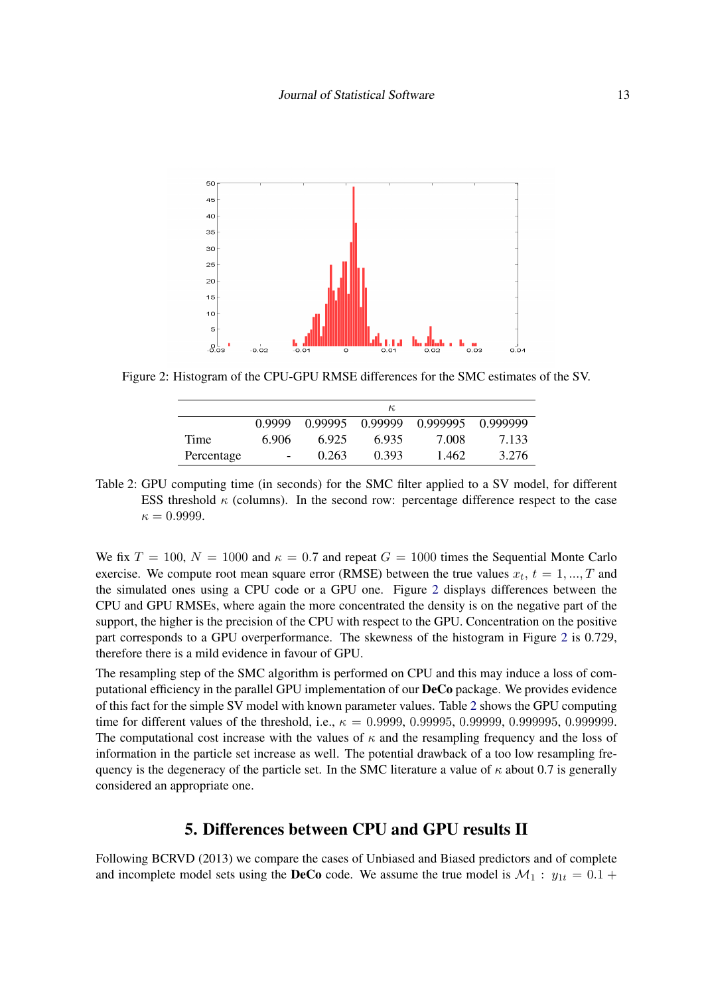<span id="page-12-1"></span>

<span id="page-12-2"></span>Figure 2: Histogram of the CPU-GPU RMSE differences for the SMC estimates of the SV.

|            |                   |         | $\kappa$ |          |          |
|------------|-------------------|---------|----------|----------|----------|
|            | 0.9999            | 0.99995 | 0.99999  | 0.999995 | 0 999999 |
| Time       | 6.906             | 6.925   | 6.935    | 7.008    | 7 1 3 3  |
| Percentage | $\qquad \qquad -$ | 0.263   | 0.393    | 1.462    | 3.276    |

Table 2: GPU computing time (in seconds) for the SMC filter applied to a SV model, for different ESS threshold  $\kappa$  (columns). In the second row: percentage difference respect to the case  $\kappa = 0.9999.$ 

We fix  $T = 100$ ,  $N = 1000$  and  $\kappa = 0.7$  and repeat  $G = 1000$  times the Sequential Monte Carlo exercise. We compute root mean square error (RMSE) between the true values  $x_t$ ,  $t = 1, ..., T$  and the simulated ones using a CPU code or a GPU one. Figure [2](#page-12-1) displays differences between the CPU and GPU RMSEs, where again the more concentrated the density is on the negative part of the support, the higher is the precision of the CPU with respect to the GPU. Concentration on the positive part corresponds to a GPU overperformance. The skewness of the histogram in Figure [2](#page-12-1) is 0.729, therefore there is a mild evidence in favour of GPU.

The resampling step of the SMC algorithm is performed on CPU and this may induce a loss of computational efficiency in the parallel GPU implementation of our DeCo package. We provides evidence of this fact for the simple SV model with known parameter values. Table [2](#page-12-2) shows the GPU computing time for different values of the threshold, i.e.,  $\kappa = 0.99999, 0.99995, 0.999995, 0.9999995, 0.99999995$ The computational cost increase with the values of  $\kappa$  and the resampling frequency and the loss of information in the particle set increase as well. The potential drawback of a too low resampling frequency is the degeneracy of the particle set. In the SMC literature a value of  $\kappa$  about 0.7 is generally considered an appropriate one.

### 5. Differences between CPU and GPU results II

<span id="page-12-0"></span>Following BCRVD (2013) we compare the cases of Unbiased and Biased predictors and of complete and incomplete model sets using the **DeCo** code. We assume the true model is  $\mathcal{M}_1$  :  $y_{1t} = 0.1 +$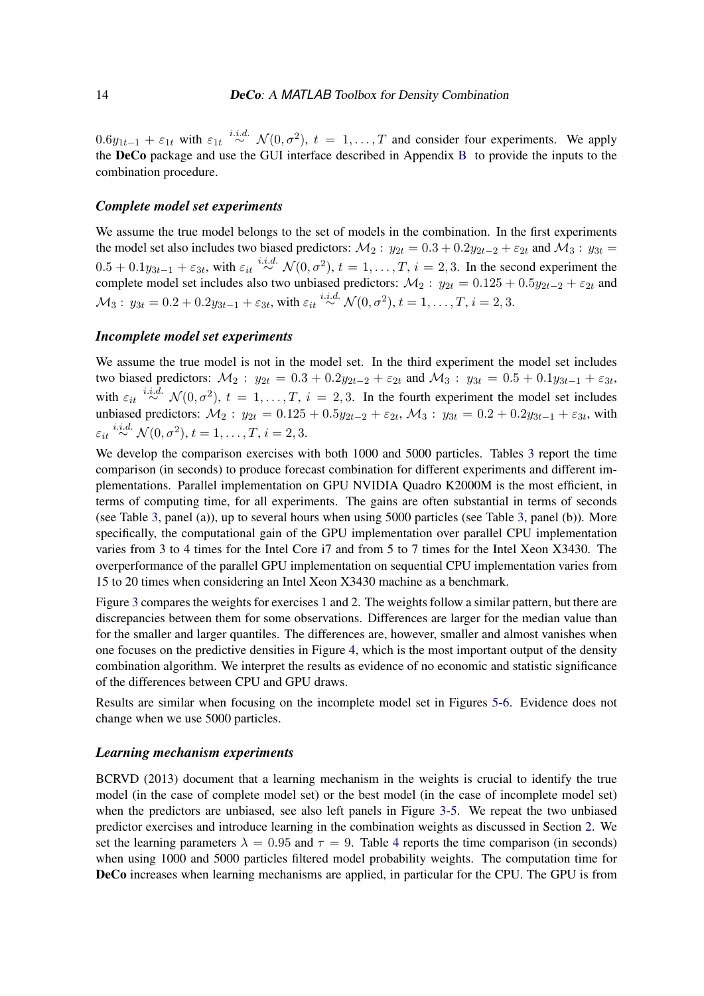$0.6y_{1t-1} + \varepsilon_{1t}$  with  $\varepsilon_{1t} \stackrel{i.i.d.}{\sim} \mathcal{N}(0, \sigma^2)$ ,  $t = 1, \ldots, T$  and consider four experiments. We apply the DeCo package and use the GUI interface described in Appendix [B](#page-24-0) to provide the inputs to the combination procedure.

### *Complete model set experiments*

We assume the true model belongs to the set of models in the combination. In the first experiments the model set also includes two biased predictors:  $M_2$ :  $y_{2t} = 0.3 + 0.2y_{2t-2} + \varepsilon_{2t}$  and  $M_3$ :  $y_{3t} =$  $0.5 + 0.1y_{3t-1} + \varepsilon_{3t}$ , with  $\varepsilon_{it} \stackrel{i.i.d.}{\sim} \mathcal{N}(0, \sigma^2)$ ,  $t = 1, \ldots, T$ ,  $i = 2, 3$ . In the second experiment the complete model set includes also two unbiased predictors:  $\mathcal{M}_2$ :  $y_{2t} = 0.125 + 0.5y_{2t-2} + \varepsilon_{2t}$  and  $\mathcal{M}_3: \, y_{3t} = 0.2 + 0.2 y_{3t-1} + \varepsilon_{3t}, \, \text{with} \, \, \varepsilon_{it} \stackrel{i.i.d.}{\sim} \mathcal{N}(0, \sigma^2), \, t=1, \ldots, T, \, i=2,3.$ 

#### *Incomplete model set experiments*

We assume the true model is not in the model set. In the third experiment the model set includes two biased predictors:  $M_2$ :  $y_{2t} = 0.3 + 0.2y_{2t-2} + \varepsilon_{2t}$  and  $M_3$ :  $y_{3t} = 0.5 + 0.1y_{3t-1} + \varepsilon_{3t}$ , with  $\varepsilon_{it} \stackrel{i.i.d.}{\sim} \mathcal{N}(0, \sigma^2)$ ,  $t = 1, \ldots, T$ ,  $i = 2, 3$ . In the fourth experiment the model set includes unbiased predictors:  $M_2: y_{2t} = 0.125 + 0.5y_{2t-2} + \varepsilon_{2t}$ ,  $M_3: y_{3t} = 0.2 + 0.2y_{3t-1} + \varepsilon_{3t}$ , with  $\varepsilon_{it} \stackrel{i.i.d.}{\sim} \mathcal{N}(0, \sigma^2), t = 1, \ldots, T, i = 2, 3.$ 

We develop the comparison exercises with both 1000 and 5000 particles. Tables [3](#page-16-0) report the time comparison (in seconds) to produce forecast combination for different experiments and different implementations. Parallel implementation on GPU NVIDIA Quadro K2000M is the most efficient, in terms of computing time, for all experiments. The gains are often substantial in terms of seconds (see Table [3,](#page-16-0) panel (a)), up to several hours when using 5000 particles (see Table [3,](#page-16-0) panel (b)). More specifically, the computational gain of the GPU implementation over parallel CPU implementation varies from 3 to 4 times for the Intel Core i7 and from 5 to 7 times for the Intel Xeon X3430. The overperformance of the parallel GPU implementation on sequential CPU implementation varies from 15 to 20 times when considering an Intel Xeon X3430 machine as a benchmark.

Figure [3](#page-14-0) compares the weights for exercises 1 and 2. The weights follow a similar pattern, but there are discrepancies between them for some observations. Differences are larger for the median value than for the smaller and larger quantiles. The differences are, however, smaller and almost vanishes when one focuses on the predictive densities in Figure [4,](#page-14-1) which is the most important output of the density combination algorithm. We interpret the results as evidence of no economic and statistic significance of the differences between CPU and GPU draws.

Results are similar when focusing on the incomplete model set in Figures [5](#page-15-0)[-6.](#page-15-1) Evidence does not change when we use 5000 particles.

#### *Learning mechanism experiments*

BCRVD (2013) document that a learning mechanism in the weights is crucial to identify the true model (in the case of complete model set) or the best model (in the case of incomplete model set) when the predictors are unbiased, see also left panels in Figure [3](#page-14-0)[-5.](#page-15-0) We repeat the two unbiased predictor exercises and introduce learning in the combination weights as discussed in Section [2.](#page-2-1) We set the learning parameters  $\lambda = 0.95$  and  $\tau = 9$ . Table [4](#page-17-1) reports the time comparison (in seconds) when using 1000 and 5000 particles filtered model probability weights. The computation time for DeCo increases when learning mechanisms are applied, in particular for the CPU. The GPU is from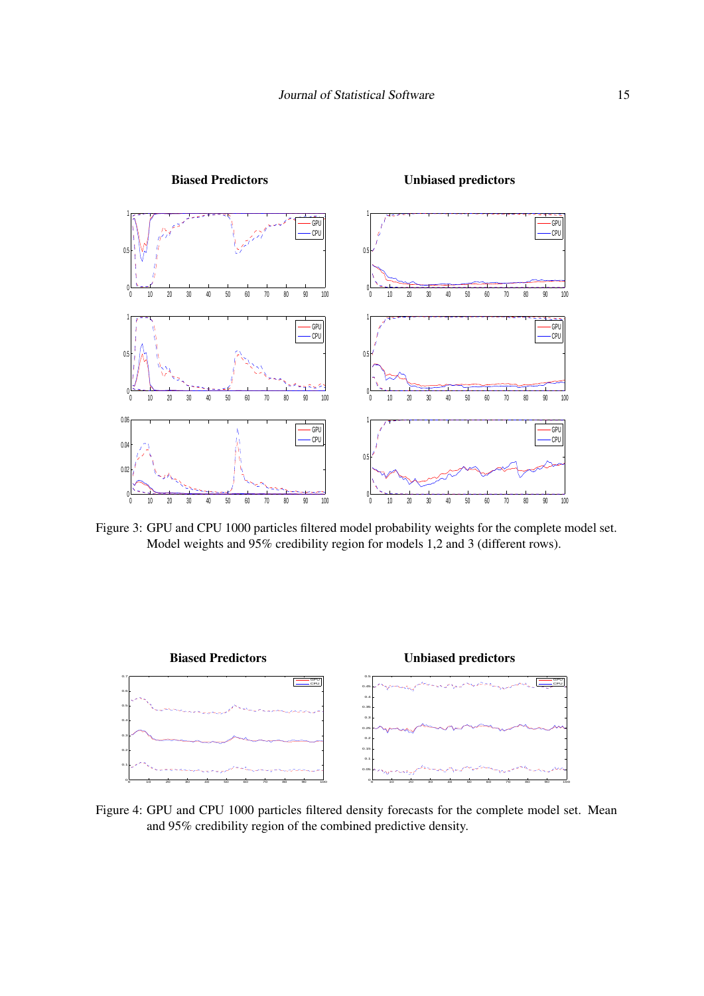<span id="page-14-0"></span>

Figure 3: GPU and CPU 1000 particles filtered model probability weights for the complete model set. Model weights and 95% credibility region for models 1,2 and 3 (different rows).

<span id="page-14-1"></span>

Figure 4: GPU and CPU 1000 particles filtered density forecasts for the complete model set. Mean and 95% credibility region of the combined predictive density.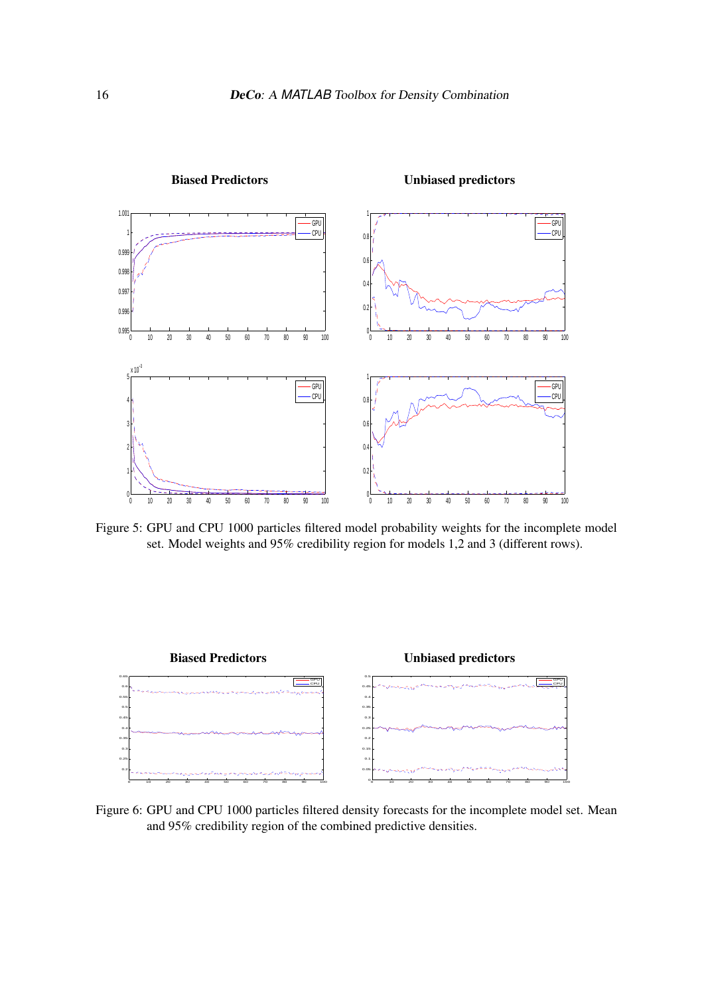<span id="page-15-0"></span>

### Biased Predictors Unbiased predictors

Figure 5: GPU and CPU 1000 particles filtered model probability weights for the incomplete model set. Model weights and 95% credibility region for models 1,2 and 3 (different rows).

<span id="page-15-1"></span>

Figure 6: GPU and CPU 1000 particles filtered density forecasts for the incomplete model set. Mean and 95% credibility region of the combined predictive densities.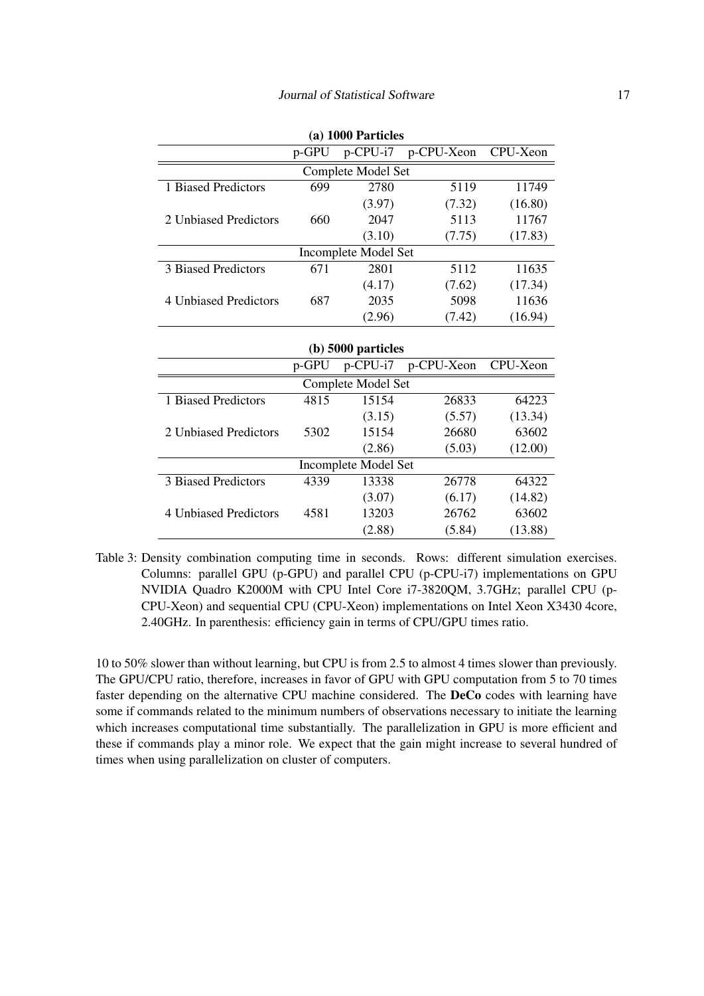<span id="page-16-0"></span>

|                       |       | (a) 1000 Particles   |            |          |
|-----------------------|-------|----------------------|------------|----------|
|                       | p-GPU | p-CPU-i7             | p-CPU-Xeon | CPU-Xeon |
|                       |       | Complete Model Set   |            |          |
| 1 Biased Predictors   | 699   | 2780                 | 5119       | 11749    |
|                       |       | (3.97)               | (7.32)     | (16.80)  |
| 2 Unbiased Predictors | 660   | 2047                 | 5113       | 11767    |
|                       |       | (3.10)               | (7.75)     | (17.83)  |
|                       |       | Incomplete Model Set |            |          |
| 3 Biased Predictors   | 671   | 2801                 | 5112       | 11635    |
|                       |       | (4.17)               | (7.62)     | (17.34)  |
| 4 Unbiased Predictors | 687   | 2035                 | 5098       | 11636    |
|                       |       | (2.96)               | (7.42)     | (16.94)  |
|                       |       |                      |            |          |
|                       |       | $(b)$ 5000 particles |            |          |
|                       | p-GPU | p-CPU-i7             | p-CPU-Xeon | CPU-Xeon |
|                       |       | Complete Model Set   |            |          |
| 1 Biased Predictors   | 4815  | 15154                | 26833      | 64223    |
|                       |       | (3.15)               | (5.57)     | (13.34)  |
| 2 Unbiased Predictors | 5302  | 15154                | 26680      | 63602    |
|                       |       | (2.86)               | (5.03)     | (12.00)  |

|                       | $\sim$ $\sim$ | $P^{\prime}$ and $P^{\prime}$ | $P_{\rm V}$ or $P_{\rm V}$ |         |
|-----------------------|---------------|-------------------------------|----------------------------|---------|
|                       |               | Complete Model Set            |                            |         |
| 1 Biased Predictors   | 4815          | 15154                         | 26833                      | 64223   |
|                       |               | (3.15)                        | (5.57)                     | (13.34) |
| 2 Unbiased Predictors | 5302          | 15154                         | 26680                      | 63602   |
|                       |               | (2.86)                        | (5.03)                     | (12.00) |
|                       |               | Incomplete Model Set          |                            |         |
| 3 Biased Predictors   | 4339          | 13338                         | 26778                      | 64322   |
|                       |               | (3.07)                        | (6.17)                     | (14.82) |
| 4 Unbiased Predictors | 4581          | 13203                         | 26762                      | 63602   |
|                       |               | (2.88)                        | (5.84)                     | (13.88) |

Table 3: Density combination computing time in seconds. Rows: different simulation exercises. Columns: parallel GPU (p-GPU) and parallel CPU (p-CPU-i7) implementations on GPU NVIDIA Quadro K2000M with CPU Intel Core i7-3820QM, 3.7GHz; parallel CPU (p-CPU-Xeon) and sequential CPU (CPU-Xeon) implementations on Intel Xeon X3430 4core, 2.40GHz. In parenthesis: efficiency gain in terms of CPU/GPU times ratio.

10 to 50% slower than without learning, but CPU is from 2.5 to almost 4 times slower than previously. The GPU/CPU ratio, therefore, increases in favor of GPU with GPU computation from 5 to 70 times faster depending on the alternative CPU machine considered. The DeCo codes with learning have some if commands related to the minimum numbers of observations necessary to initiate the learning which increases computational time substantially. The parallelization in GPU is more efficient and these if commands play a minor role. We expect that the gain might increase to several hundred of times when using parallelization on cluster of computers.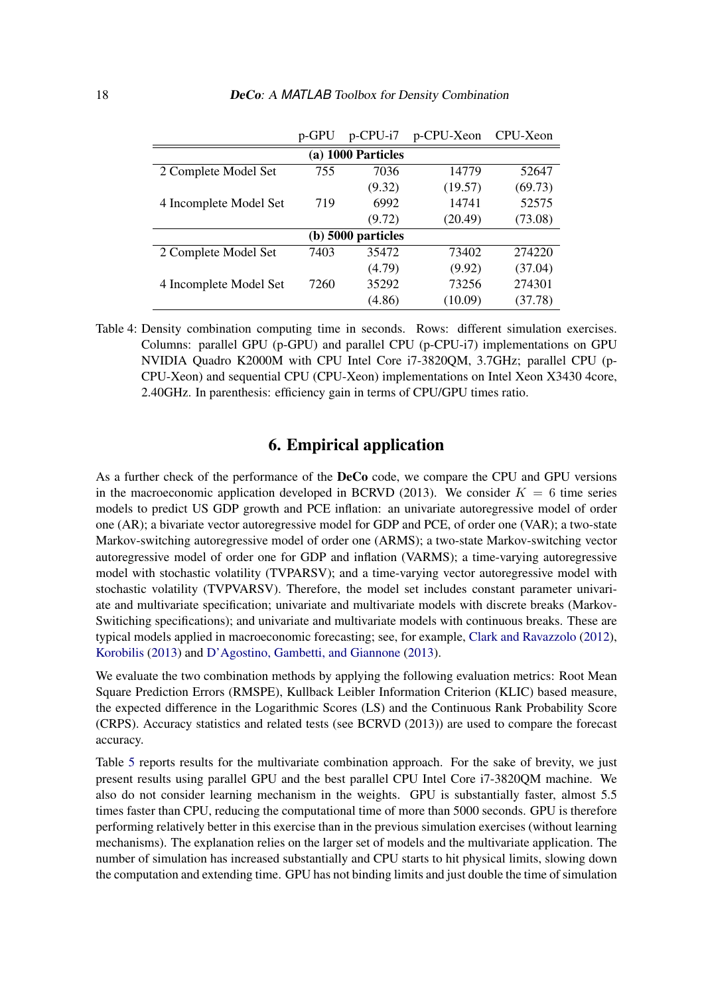<span id="page-17-1"></span>

|                        | p-GPU | $p$ -CPU- $i7$       | p-CPU-Xeon | CPU-Xeon |
|------------------------|-------|----------------------|------------|----------|
|                        |       | (a) 1000 Particles   |            |          |
| 2 Complete Model Set   | 755   | 7036                 | 14779      | 52647    |
|                        |       | (9.32)               | (19.57)    | (69.73)  |
| 4 Incomplete Model Set | 719   | 6992                 | 14741      | 52575    |
|                        |       | (9.72)               | (20.49)    | (73.08)  |
|                        |       | $(b)$ 5000 particles |            |          |
| 2 Complete Model Set   | 7403  | 35472                | 73402      | 274220   |
|                        |       | (4.79)               | (9.92)     | (37.04)  |
| 4 Incomplete Model Set | 7260  | 35292                | 73256      | 274301   |
|                        |       | (4.86)               | (10.09)    | (37.78)  |

Table 4: Density combination computing time in seconds. Rows: different simulation exercises. Columns: parallel GPU (p-GPU) and parallel CPU (p-CPU-i7) implementations on GPU NVIDIA Quadro K2000M with CPU Intel Core i7-3820QM, 3.7GHz; parallel CPU (p-CPU-Xeon) and sequential CPU (CPU-Xeon) implementations on Intel Xeon X3430 4core, 2.40GHz. In parenthesis: efficiency gain in terms of CPU/GPU times ratio.

### 6. Empirical application

<span id="page-17-0"></span>As a further check of the performance of the DeCo code, we compare the CPU and GPU versions in the macroeconomic application developed in BCRVD (2013). We consider  $K = 6$  time series models to predict US GDP growth and PCE inflation: an univariate autoregressive model of order one (AR); a bivariate vector autoregressive model for GDP and PCE, of order one (VAR); a two-state Markov-switching autoregressive model of order one (ARMS); a two-state Markov-switching vector autoregressive model of order one for GDP and inflation (VARMS); a time-varying autoregressive model with stochastic volatility (TVPARSV); and a time-varying vector autoregressive model with stochastic volatility (TVPVARSV). Therefore, the model set includes constant parameter univariate and multivariate specification; univariate and multivariate models with discrete breaks (Markov-Switiching specifications); and univariate and multivariate models with continuous breaks. These are typical models applied in macroeconomic forecasting; see, for example, [Clark and Ravazzolo](#page-20-14) [\(2012\)](#page-20-14), [Korobilis](#page-21-15) [\(2013\)](#page-21-15) and [D'Agostino, Gambetti, and Giannone](#page-20-15) [\(2013\)](#page-20-15).

We evaluate the two combination methods by applying the following evaluation metrics: Root Mean Square Prediction Errors (RMSPE), Kullback Leibler Information Criterion (KLIC) based measure, the expected difference in the Logarithmic Scores (LS) and the Continuous Rank Probability Score (CRPS). Accuracy statistics and related tests (see BCRVD (2013)) are used to compare the forecast accuracy.

Table [5](#page-18-1) reports results for the multivariate combination approach. For the sake of brevity, we just present results using parallel GPU and the best parallel CPU Intel Core i7-3820QM machine. We also do not consider learning mechanism in the weights. GPU is substantially faster, almost 5.5 times faster than CPU, reducing the computational time of more than 5000 seconds. GPU is therefore performing relatively better in this exercise than in the previous simulation exercises (without learning mechanisms). The explanation relies on the larger set of models and the multivariate application. The number of simulation has increased substantially and CPU starts to hit physical limits, slowing down the computation and extending time. GPU has not binding limits and just double the time of simulation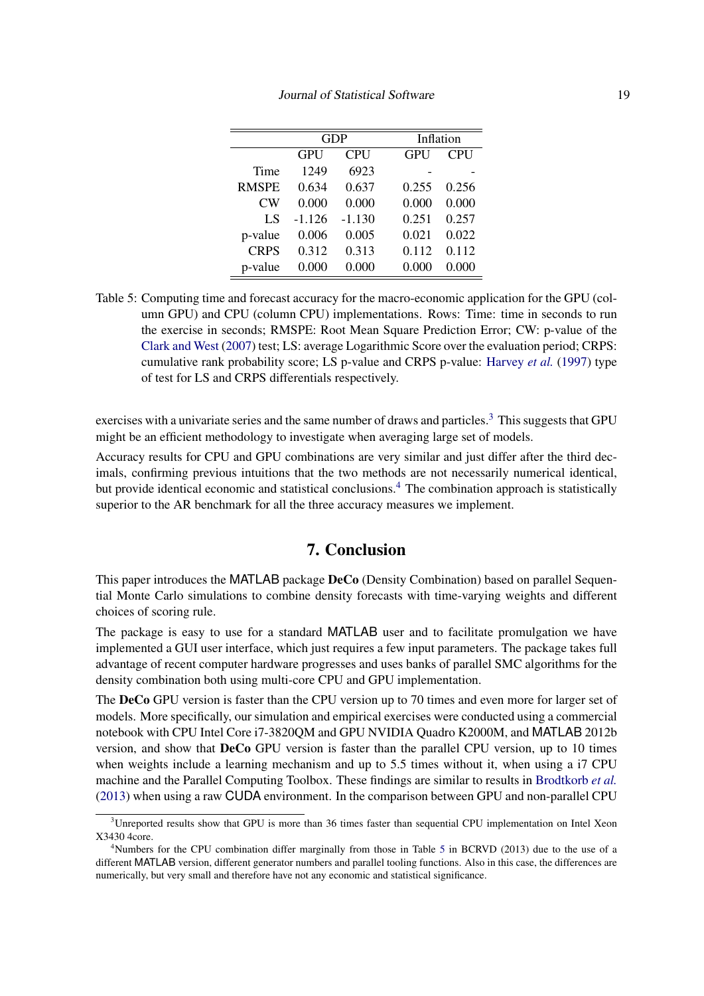<span id="page-18-1"></span>

|              |            | <b>GDP</b> |            | Inflation  |
|--------------|------------|------------|------------|------------|
|              | <b>GPU</b> | <b>CPU</b> | <b>GPU</b> | <b>CPU</b> |
| Time         | 1249       | 6923       |            |            |
| <b>RMSPE</b> | 0.634      | 0.637      | 0.255      | 0.256      |
| CW           | 0.000      | 0.000      | 0.000      | 0.000      |
| LS           | $-1.126$   | $-1.130$   | 0.251      | 0.257      |
| p-value      | 0.006      | 0.005      | 0.021      | 0.022      |
| <b>CRPS</b>  | 0.312      | 0.313      | 0.112      | 0.112      |
| p-value      | 0.000      | 0.000      | 0.000      | 0.000      |

Table 5: Computing time and forecast accuracy for the macro-economic application for the GPU (column GPU) and CPU (column CPU) implementations. Rows: Time: time in seconds to run the exercise in seconds; RMSPE: Root Mean Square Prediction Error; CW: p-value of the [Clark and West](#page-20-16) [\(2007\)](#page-20-16) test; LS: average Logarithmic Score over the evaluation period; CRPS: cumulative rank probability score; LS p-value and CRPS p-value: [Harvey](#page-20-17) *et al.* [\(1997\)](#page-20-17) type of test for LS and CRPS differentials respectively.

exercises with a univariate series and the same number of draws and particles.<sup>[3](#page-0-0)</sup> This suggests that GPU might be an efficient methodology to investigate when averaging large set of models.

Accuracy results for CPU and GPU combinations are very similar and just differ after the third decimals, confirming previous intuitions that the two methods are not necessarily numerical identical, but provide identical economic and statistical conclusions.<sup>[4](#page-0-0)</sup> The combination approach is statistically superior to the AR benchmark for all the three accuracy measures we implement.

### 7. Conclusion

<span id="page-18-0"></span>This paper introduces the MATLAB package **DeCo** (Density Combination) based on parallel Sequential Monte Carlo simulations to combine density forecasts with time-varying weights and different choices of scoring rule.

The package is easy to use for a standard MATLAB user and to facilitate promulgation we have implemented a GUI user interface, which just requires a few input parameters. The package takes full advantage of recent computer hardware progresses and uses banks of parallel SMC algorithms for the density combination both using multi-core CPU and GPU implementation.

The DeCo GPU version is faster than the CPU version up to 70 times and even more for larger set of models. More specifically, our simulation and empirical exercises were conducted using a commercial notebook with CPU Intel Core i7-3820QM and GPU NVIDIA Quadro K2000M, and MATLAB 2012b version, and show that DeCo GPU version is faster than the parallel CPU version, up to 10 times when weights include a learning mechanism and up to 5.5 times without it, when using a i7 CPU machine and the Parallel Computing Toolbox. These findings are similar to results in [Brodtkorb](#page-19-4) *et al.* [\(2013\)](#page-19-4) when using a raw CUDA environment. In the comparison between GPU and non-parallel CPU

<sup>&</sup>lt;sup>3</sup>Unreported results show that GPU is more than 36 times faster than sequential CPU implementation on Intel Xeon X3430 4core.

<sup>&</sup>lt;sup>4</sup>Numbers for the CPU combination differ marginally from those in Table [5](#page-18-1) in BCRVD (2013) due to the use of a different MATLAB version, different generator numbers and parallel tooling functions. Also in this case, the differences are numerically, but very small and therefore have not any economic and statistical significance.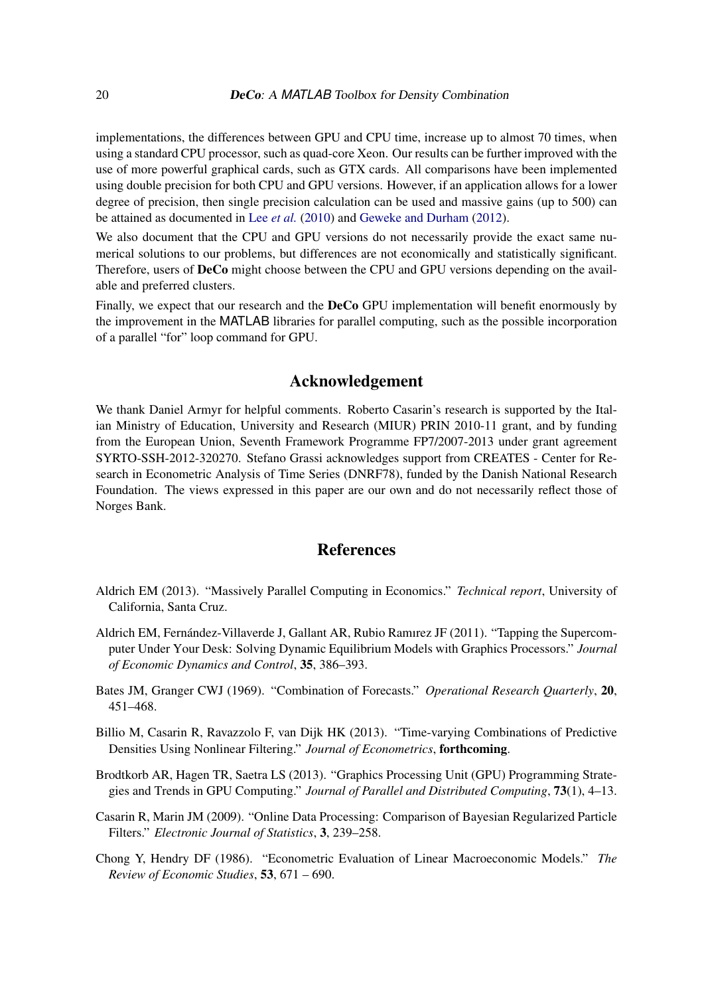implementations, the differences between GPU and CPU time, increase up to almost 70 times, when using a standard CPU processor, such as quad-core Xeon. Our results can be further improved with the use of more powerful graphical cards, such as GTX cards. All comparisons have been implemented using double precision for both CPU and GPU versions. However, if an application allows for a lower degree of precision, then single precision calculation can be used and massive gains (up to 500) can be attained as documented in Lee *[et al.](#page-21-5)* [\(2010\)](#page-21-5) and [Geweke and Durham](#page-20-4) [\(2012\)](#page-20-4).

We also document that the CPU and GPU versions do not necessarily provide the exact same numerical solutions to our problems, but differences are not economically and statistically significant. Therefore, users of DeCo might choose between the CPU and GPU versions depending on the available and preferred clusters.

Finally, we expect that our research and the **DeCo** GPU implementation will benefit enormously by the improvement in the MATLAB libraries for parallel computing, such as the possible incorporation of a parallel "for" loop command for GPU.

### Acknowledgement

We thank Daniel Armyr for helpful comments. Roberto Casarin's research is supported by the Italian Ministry of Education, University and Research (MIUR) PRIN 2010-11 grant, and by funding from the European Union, Seventh Framework Programme FP7/2007-2013 under grant agreement SYRTO-SSH-2012-320270. Stefano Grassi acknowledges support from CREATES - Center for Research in Econometric Analysis of Time Series (DNRF78), funded by the Danish National Research Foundation. The views expressed in this paper are our own and do not necessarily reflect those of Norges Bank.

### References

- <span id="page-19-6"></span>Aldrich EM (2013). "Massively Parallel Computing in Economics." *Technical report*, University of California, Santa Cruz.
- <span id="page-19-2"></span>Aldrich EM, Fernández-Villaverde J, Gallant AR, Rubio Ramırez JF (2011). "Tapping the Supercomputer Under Your Desk: Solving Dynamic Equilibrium Models with Graphics Processors." *Journal of Economic Dynamics and Control*, 35, 386–393.
- <span id="page-19-1"></span>Bates JM, Granger CWJ (1969). "Combination of Forecasts." *Operational Research Quarterly*, 20, 451–468.
- <span id="page-19-0"></span>Billio M, Casarin R, Ravazzolo F, van Dijk HK (2013). "Time-varying Combinations of Predictive Densities Using Nonlinear Filtering." *Journal of Econometrics*, forthcoming.
- <span id="page-19-4"></span>Brodtkorb AR, Hagen TR, Saetra LS (2013). "Graphics Processing Unit (GPU) Programming Strategies and Trends in GPU Computing." *Journal of Parallel and Distributed Computing*, 73(1), 4–13.
- <span id="page-19-5"></span>Casarin R, Marin JM (2009). "Online Data Processing: Comparison of Bayesian Regularized Particle Filters." *Electronic Journal of Statistics*, 3, 239–258.
- <span id="page-19-3"></span>Chong Y, Hendry DF (1986). "Econometric Evaluation of Linear Macroeconomic Models." *The Review of Economic Studies*, 53, 671 – 690.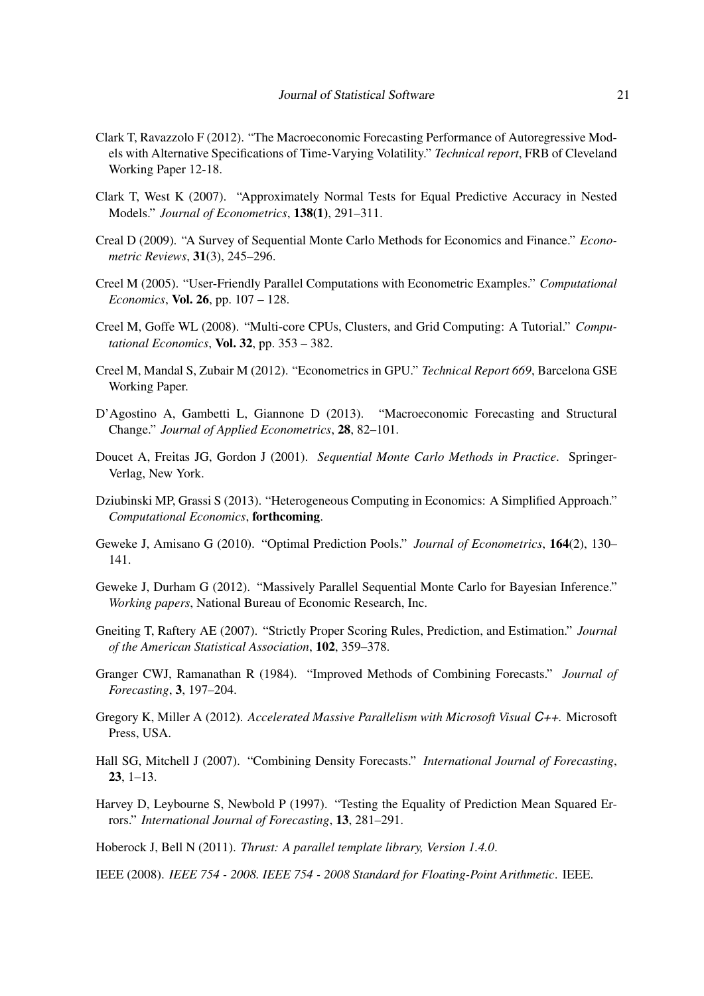- <span id="page-20-14"></span>Clark T, Ravazzolo F (2012). "The Macroeconomic Forecasting Performance of Autoregressive Models with Alternative Specifications of Time-Varying Volatility." *Technical report*, FRB of Cleveland Working Paper 12-18.
- <span id="page-20-16"></span>Clark T, West K (2007). "Approximately Normal Tests for Equal Predictive Accuracy in Nested Models." *Journal of Econometrics*, 138(1), 291–311.
- <span id="page-20-12"></span>Creal D (2009). "A Survey of Sequential Monte Carlo Methods for Economics and Finance." *Econometric Reviews*, 31(3), 245–296.
- <span id="page-20-8"></span>Creel M (2005). "User-Friendly Parallel Computations with Econometric Examples." *Computational Economics*, Vol. 26, pp. 107 – 128.
- <span id="page-20-7"></span>Creel M, Goffe WL (2008). "Multi-core CPUs, Clusters, and Grid Computing: A Tutorial." *Computational Economics*, Vol. 32, pp. 353 – 382.
- <span id="page-20-6"></span>Creel M, Mandal S, Zubair M (2012). "Econometrics in GPU." *Technical Report 669*, Barcelona GSE Working Paper.
- <span id="page-20-15"></span>D'Agostino A, Gambetti L, Giannone D (2013). "Macroeconomic Forecasting and Structural Change." *Journal of Applied Econometrics*, 28, 82–101.
- <span id="page-20-11"></span>Doucet A, Freitas JG, Gordon J (2001). *Sequential Monte Carlo Methods in Practice*. Springer-Verlag, New York.
- <span id="page-20-5"></span>Dziubinski MP, Grassi S (2013). "Heterogeneous Computing in Economics: A Simplified Approach." *Computational Economics*, forthcoming.
- <span id="page-20-2"></span>Geweke J, Amisano G (2010). "Optimal Prediction Pools." *Journal of Econometrics*, 164(2), 130– 141.
- <span id="page-20-4"></span>Geweke J, Durham G (2012). "Massively Parallel Sequential Monte Carlo for Bayesian Inference." *Working papers*, National Bureau of Economic Research, Inc.
- <span id="page-20-3"></span>Gneiting T, Raftery AE (2007). "Strictly Proper Scoring Rules, Prediction, and Estimation." *Journal of the American Statistical Association*, 102, 359–378.
- <span id="page-20-0"></span>Granger CWJ, Ramanathan R (1984). "Improved Methods of Combining Forecasts." *Journal of Forecasting*, 3, 197–204.
- <span id="page-20-10"></span>Gregory K, Miller A (2012). *Accelerated Massive Parallelism with Microsoft Visual C++*. Microsoft Press, USA.
- <span id="page-20-1"></span>Hall SG, Mitchell J (2007). "Combining Density Forecasts." *International Journal of Forecasting*, 23, 1–13.
- <span id="page-20-17"></span>Harvey D, Leybourne S, Newbold P (1997). "Testing the Equality of Prediction Mean Squared Errors." *International Journal of Forecasting*, 13, 281–291.

<span id="page-20-9"></span>Hoberock J, Bell N (2011). *Thrust: A parallel template library, Version 1.4.0*.

<span id="page-20-13"></span>IEEE (2008). *IEEE 754 - 2008. IEEE 754 - 2008 Standard for Floating-Point Arithmetic*. IEEE.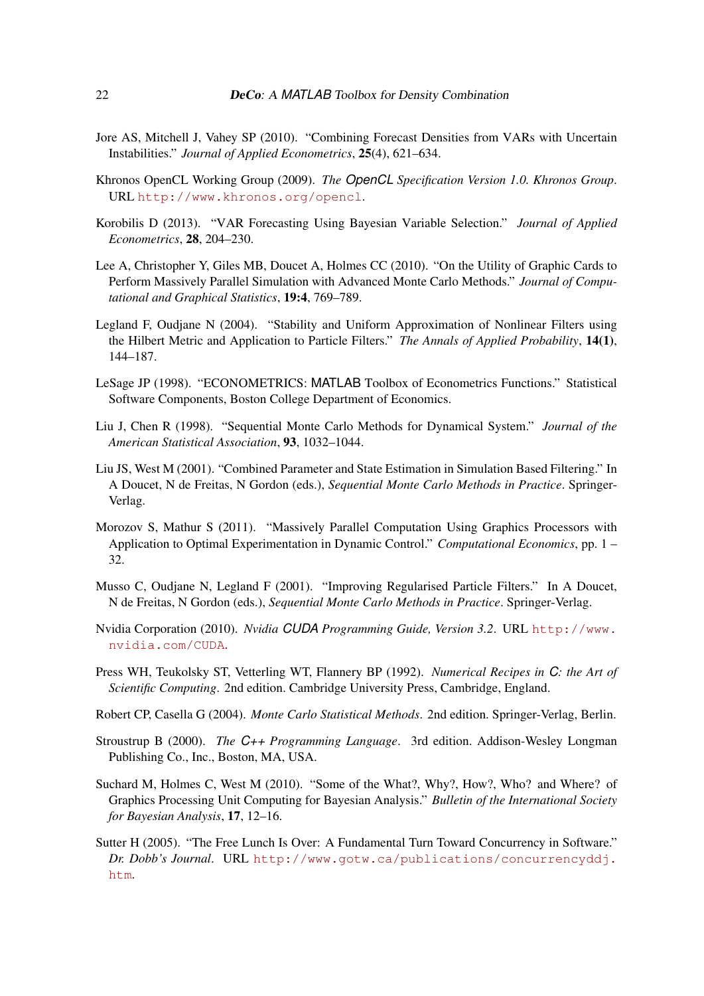- <span id="page-21-9"></span>Jore AS, Mitchell J, Vahey SP (2010). "Combining Forecast Densities from VARs with Uncertain Instabilities." *Journal of Applied Econometrics*, 25(4), 621–634.
- <span id="page-21-4"></span>Khronos OpenCL Working Group (2009). *The OpenCL Specification Version 1.0. Khronos Group*. URL <http://www.khronos.org/opencl>.
- <span id="page-21-15"></span>Korobilis D (2013). "VAR Forecasting Using Bayesian Variable Selection." *Journal of Applied Econometrics*, 28, 204–230.
- <span id="page-21-5"></span>Lee A, Christopher Y, Giles MB, Doucet A, Holmes CC (2010). "On the Utility of Graphic Cards to Perform Massively Parallel Simulation with Advanced Monte Carlo Methods." *Journal of Computational and Graphical Statistics*, 19:4, 769–789.
- <span id="page-21-8"></span>Legland F, Oudjane N (2004). "Stability and Uniform Approximation of Nonlinear Filters using the Hilbert Metric and Application to Particle Filters." *The Annals of Applied Probability*, 14(1), 144–187.
- <span id="page-21-13"></span>LeSage JP (1998). "ECONOMETRICS: MATLAB Toolbox of Econometrics Functions." Statistical Software Components, Boston College Department of Economics.
- <span id="page-21-12"></span>Liu J, Chen R (1998). "Sequential Monte Carlo Methods for Dynamical System." *Journal of the American Statistical Association*, 93, 1032–1044.
- <span id="page-21-10"></span>Liu JS, West M (2001). "Combined Parameter and State Estimation in Simulation Based Filtering." In A Doucet, N de Freitas, N Gordon (eds.), *Sequential Monte Carlo Methods in Practice*. Springer-Verlag.
- <span id="page-21-1"></span>Morozov S, Mathur S (2011). "Massively Parallel Computation Using Graphics Processors with Application to Optimal Experimentation in Dynamic Control." *Computational Economics*, pp. 1 – 32.
- <span id="page-21-11"></span>Musso C, Oudjane N, Legland F (2001). "Improving Regularised Particle Filters." In A Doucet, N de Freitas, N Gordon (eds.), *Sequential Monte Carlo Methods in Practice*. Springer-Verlag.
- <span id="page-21-3"></span>Nvidia Corporation (2010). *Nvidia CUDA Programming Guide, Version 3.2*. URL [http://www.](http://www.nvidia.com/CUDA) [nvidia.com/CUDA](http://www.nvidia.com/CUDA).
- <span id="page-21-6"></span>Press WH, Teukolsky ST, Vetterling WT, Flannery BP (1992). *Numerical Recipes in C: the Art of Scientific Computing*. 2nd edition. Cambridge University Press, Cambridge, England.
- <span id="page-21-14"></span>Robert CP, Casella G (2004). *Monte Carlo Statistical Methods*. 2nd edition. Springer-Verlag, Berlin.
- <span id="page-21-7"></span>Stroustrup B (2000). *The C++ Programming Language*. 3rd edition. Addison-Wesley Longman Publishing Co., Inc., Boston, MA, USA.
- <span id="page-21-2"></span>Suchard M, Holmes C, West M (2010). "Some of the What?, Why?, How?, Who? and Where? of Graphics Processing Unit Computing for Bayesian Analysis." *Bulletin of the International Society for Bayesian Analysis*, 17, 12–16.
- <span id="page-21-0"></span>Sutter H (2005). "The Free Lunch Is Over: A Fundamental Turn Toward Concurrency in Software." *Dr. Dobb's Journal*. URL [http://www.gotw.ca/publications/concurrencyddj.](http://www.gotw.ca/publications/concurrencyddj.htm) [htm](http://www.gotw.ca/publications/concurrencyddj.htm).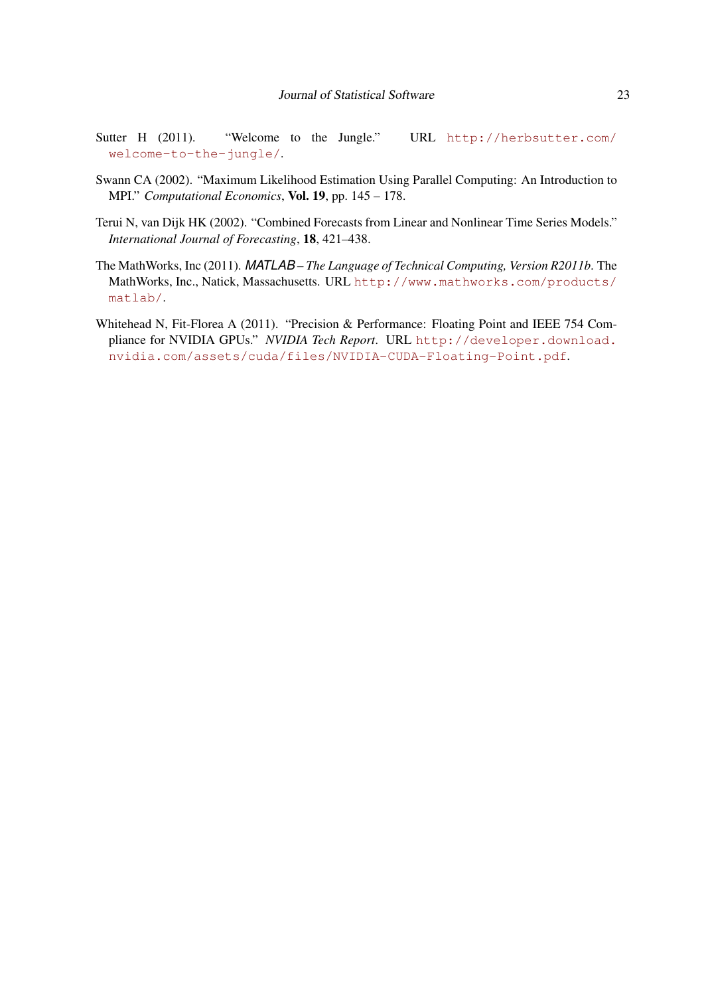- <span id="page-22-2"></span>Sutter H (2011). "Welcome to the Jungle." URL [http://herbsutter.com/](http://herbsutter.com/welcome-to-the-jungle/) [welcome-to-the-jungle/](http://herbsutter.com/welcome-to-the-jungle/).
- <span id="page-22-3"></span>Swann CA (2002). "Maximum Likelihood Estimation Using Parallel Computing: An Introduction to MPI." *Computational Economics*, Vol. 19, pp. 145 – 178.
- <span id="page-22-0"></span>Terui N, van Dijk HK (2002). "Combined Forecasts from Linear and Nonlinear Time Series Models." *International Journal of Forecasting*, 18, 421–438.
- <span id="page-22-1"></span>The MathWorks, Inc (2011). *MATLAB – The Language of Technical Computing, Version R2011b*. The MathWorks, Inc., Natick, Massachusetts. URL [http://www.mathworks.com/products/](http://www.mathworks.com/products/matlab/) [matlab/](http://www.mathworks.com/products/matlab/).
- <span id="page-22-4"></span>Whitehead N, Fit-Florea A (2011). "Precision & Performance: Floating Point and IEEE 754 Compliance for NVIDIA GPUs." *NVIDIA Tech Report*. URL [http://developer.download.](http://developer.download.nvidia.com/assets/cuda/files/NVIDIA-CUDA-Floating-Point.pdf) [nvidia.com/assets/cuda/files/NVIDIA-CUDA-Floating-Point.pdf](http://developer.download.nvidia.com/assets/cuda/files/NVIDIA-CUDA-Floating-Point.pdf).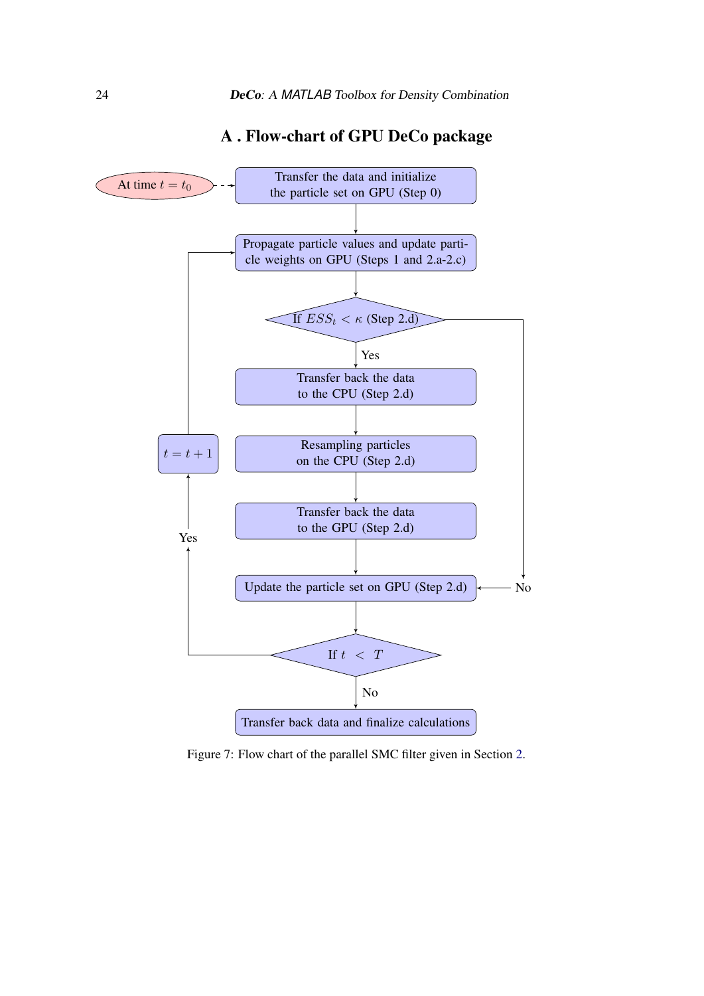<span id="page-23-0"></span>

### A . Flow-chart of GPU DeCo package

Figure 7: Flow chart of the parallel SMC filter given in Section [2.](#page-2-1)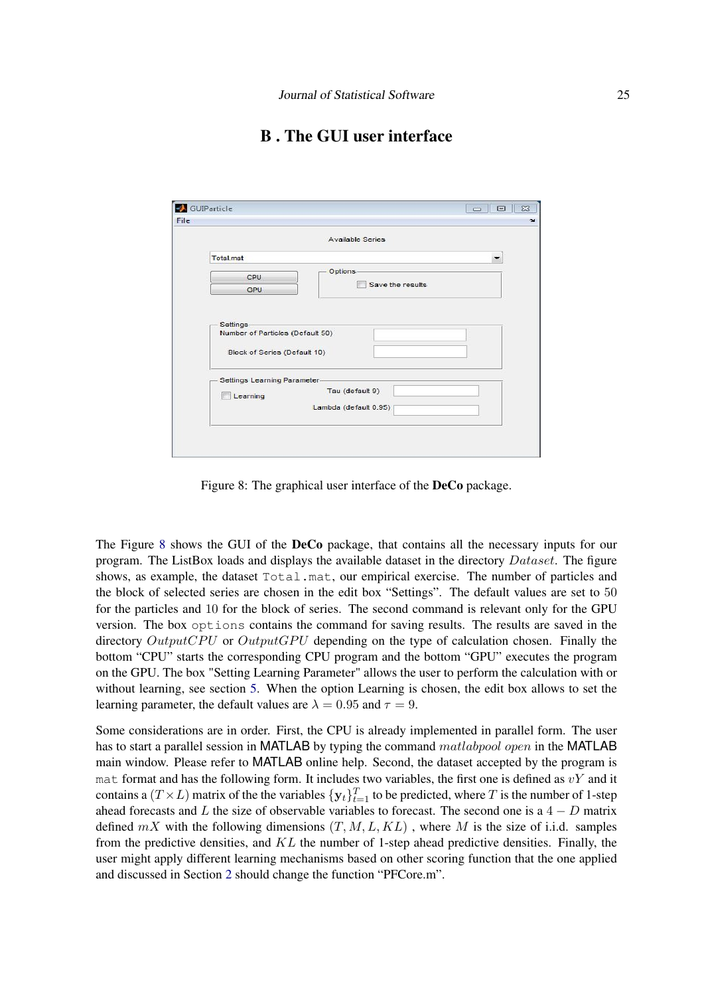## B . The GUI user interface

<span id="page-24-1"></span><span id="page-24-0"></span>

|                                  | <b>Available Series</b> |   |
|----------------------------------|-------------------------|---|
|                                  |                         |   |
| <b>Total</b> mat                 |                         | ▼ |
| CPU                              | Options-                |   |
| GPU                              | Save the results        |   |
|                                  |                         |   |
|                                  |                         |   |
| Settings-                        |                         |   |
| Number of Particles (Default 50) |                         |   |
|                                  |                         |   |
| Block of Series (Default 10)     |                         |   |
|                                  |                         |   |
| Settings Learning Parameter-     |                         |   |
| Learning                         | Tau (default 9)         |   |
|                                  | Lambda (default 0.95)   |   |
|                                  |                         |   |
|                                  |                         |   |

Figure 8: The graphical user interface of the DeCo package.

The Figure [8](#page-24-1) shows the GUI of the DeCo package, that contains all the necessary inputs for our program. The ListBox loads and displays the available dataset in the directory Dataset. The figure shows, as example, the dataset Total.mat, our empirical exercise. The number of particles and the block of selected series are chosen in the edit box "Settings". The default values are set to 50 for the particles and 10 for the block of series. The second command is relevant only for the GPU version. The box options contains the command for saving results. The results are saved in the directory OutputCPU or OutputGPU depending on the type of calculation chosen. Finally the bottom "CPU" starts the corresponding CPU program and the bottom "GPU" executes the program on the GPU. The box "Setting Learning Parameter" allows the user to perform the calculation with or without learning, see section [5.](#page-12-0) When the option Learning is chosen, the edit box allows to set the learning parameter, the default values are  $\lambda = 0.95$  and  $\tau = 9$ .

Some considerations are in order. First, the CPU is already implemented in parallel form. The user has to start a parallel session in MATLAB by typing the command matlabpool open in the MATLAB main window. Please refer to MATLAB online help. Second, the dataset accepted by the program is mat format and has the following form. It includes two variables, the first one is defined as  $vY$  and it contains a  $(T \times L)$  matrix of the the variables  $\{y_t\}_{t=1}^T$  to be predicted, where T is the number of 1-step ahead forecasts and L the size of observable variables to forecast. The second one is a  $4 - D$  matrix defined  $mX$  with the following dimensions  $(T, M, L, KL)$ , where M is the size of i.i.d. samples from the predictive densities, and  $KL$  the number of 1-step ahead predictive densities. Finally, the user might apply different learning mechanisms based on other scoring function that the one applied and discussed in Section [2](#page-2-1) should change the function "PFCore.m".